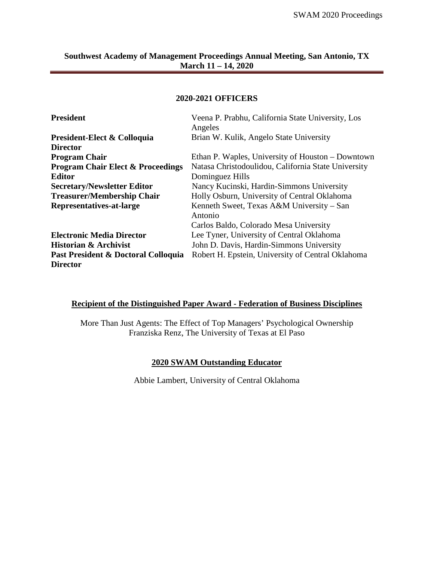#### **2020-2021 OFFICERS**

| <b>President</b>                             | Veena P. Prabhu, California State University, Los<br>Angeles |  |  |
|----------------------------------------------|--------------------------------------------------------------|--|--|
| President-Elect & Colloquia                  | Brian W. Kulik, Angelo State University                      |  |  |
| <b>Director</b>                              |                                                              |  |  |
| <b>Program Chair</b>                         | Ethan P. Waples, University of Houston – Downtown            |  |  |
| <b>Program Chair Elect &amp; Proceedings</b> | Natasa Christodoulidou, California State University          |  |  |
| <b>Editor</b>                                | Dominguez Hills                                              |  |  |
| <b>Secretary/Newsletter Editor</b>           | Nancy Kucinski, Hardin-Simmons University                    |  |  |
| <b>Treasurer/Membership Chair</b>            | Holly Osburn, University of Central Oklahoma                 |  |  |
| Representatives-at-large                     | Kenneth Sweet, Texas A&M University – San<br>Antonio         |  |  |
|                                              | Carlos Baldo, Colorado Mesa University                       |  |  |
| <b>Electronic Media Director</b>             | Lee Tyner, University of Central Oklahoma                    |  |  |
| <b>Historian &amp; Archivist</b>             | John D. Davis, Hardin-Simmons University                     |  |  |
| Past President & Doctoral Colloquia          | Robert H. Epstein, University of Central Oklahoma            |  |  |
| <b>Director</b>                              |                                                              |  |  |

# **Recipient of the Distinguished Paper Award - Federation of Business Disciplines**

More Than Just Agents: The Effect of Top Managers' Psychological Ownership Franziska Renz, The University of Texas at El Paso

# **2020 SWAM Outstanding Educator**

Abbie Lambert, University of Central Oklahoma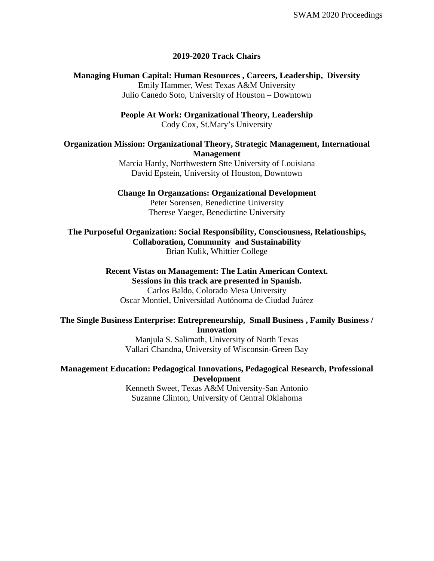#### **2019-2020 Track Chairs**

**Managing Human Capital: Human Resources , Careers, Leadership, Diversity** Emily Hammer, West Texas A&M University Julio Canedo Soto, University of Houston – Downtown

> **People At Work: Organizational Theory, Leadership**  Cody Cox, St.Mary's University

### **Organization Mission: Organizational Theory, Strategic Management, International Management**

Marcia Hardy, Northwestern Stte University of Louisiana David Epstein, University of Houston, Downtown

#### **Change In Organzations: Organizational Development**

Peter Sorensen, Benedictine University Therese Yaeger, Benedictine University

**The Purposeful Organization: Social Responsibility, Consciousness, Relationships, Collaboration, Community and Sustainability** Brian Kulik, Whittier College

#### **Recent Vistas on Management: The Latin American Context. Sessions in this track are presented in Spanish.**

Carlos Baldo, Colorado Mesa University Oscar Montiel, Universidad Autónoma de Ciudad Juárez

### **The Single Business Enterprise: Entrepreneurship, Small Business , Family Business / Innovation**

Manjula S. Salimath, University of North Texas Vallari Chandna, University of Wisconsin-Green Bay

### **Management Education: Pedagogical Innovations, Pedagogical Research, Professional Development**

Kenneth Sweet, Texas A&M University-San Antonio Suzanne Clinton, University of Central Oklahoma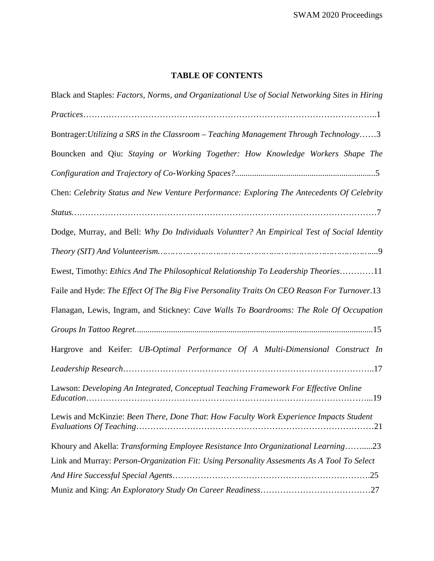# **TABLE OF CONTENTS**

| Black and Staples: Factors, Norms, and Organizational Use of Social Networking Sites in Hiring |
|------------------------------------------------------------------------------------------------|
|                                                                                                |
| Bontrager: Utilizing a SRS in the Classroom – Teaching Management Through Technology3          |
| Bouncken and Qiu: Staying or Working Together: How Knowledge Workers Shape The                 |
|                                                                                                |
| Chen: Celebrity Status and New Venture Performance: Exploring The Antecedents Of Celebrity     |
| $Status \dots 17$                                                                              |
| Dodge, Murray, and Bell: Why Do Individuals Voluntter? An Empirical Test of Social Identity    |
|                                                                                                |
| Ewest, Timothy: Ethics And The Philosophical Relationship To Leadership Theories11             |
| Faile and Hyde: The Effect Of The Big Five Personality Traits On CEO Reason For Turnover.13    |
| Flanagan, Lewis, Ingram, and Stickney: Cave Walls To Boardrooms: The Role Of Occupation        |
|                                                                                                |
| Hargrove and Keifer: UB-Optimal Performance Of A Multi-Dimensional Construct In                |
|                                                                                                |
| Lawson: Developing An Integrated, Conceptual Teaching Framework For Effective Online           |
| Lewis and McKinzie: Been There, Done That: How Faculty Work Experience Impacts Student         |
| Khoury and Akella: Transforming Employee Resistance Into Organizational Learning23             |
| Link and Murray: Person-Organization Fit: Using Personality Assesments As A Tool To Select     |
|                                                                                                |
|                                                                                                |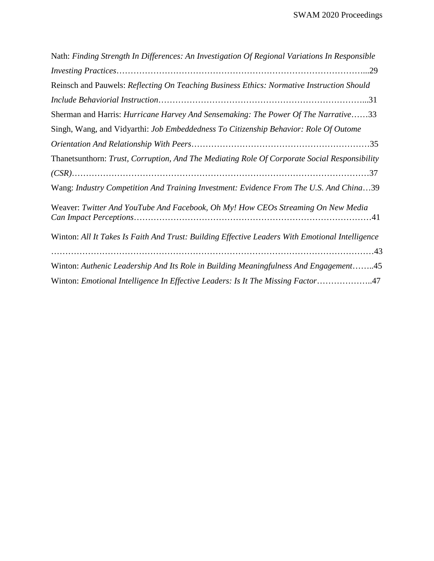| Nath: Finding Strength In Differences: An Investigation Of Regional Variations In Responsible   |  |
|-------------------------------------------------------------------------------------------------|--|
|                                                                                                 |  |
| Reinsch and Pauwels: Reflecting On Teaching Business Ethics: Normative Instruction Should       |  |
|                                                                                                 |  |
| Sherman and Harris: Hurricane Harvey And Sensemaking: The Power Of The Narrative33              |  |
| Singh, Wang, and Vidyarthi: Job Embeddedness To Citizenship Behavior: Role Of Outome            |  |
|                                                                                                 |  |
| Thanetsunthorn: Trust, Corruption, And The Mediating Role Of Corporate Social Responsibility    |  |
|                                                                                                 |  |
| Wang: Industry Competition And Training Investment: Evidence From The U.S. And China39          |  |
| Weaver: Twitter And YouTube And Facebook, Oh My! How CEOs Streaming On New Media                |  |
| Winton: All It Takes Is Faith And Trust: Building Effective Leaders With Emotional Intelligence |  |
| Winton: Authenic Leadership And Its Role in Building Meaningfulness And Engagement45            |  |
| Winton: Emotional Intelligence In Effective Leaders: Is It The Missing Factor47                 |  |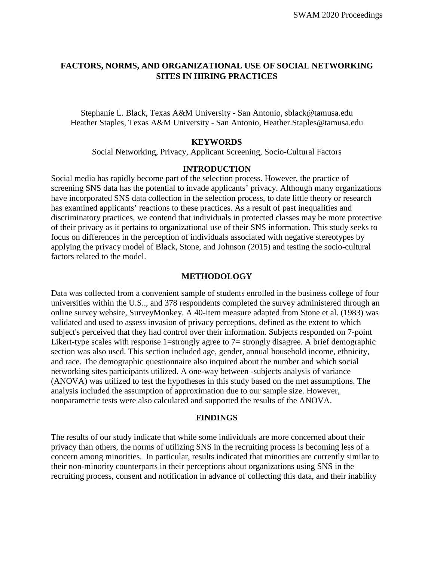# **FACTORS, NORMS, AND ORGANIZATIONAL USE OF SOCIAL NETWORKING SITES IN HIRING PRACTICES**

Stephanie L. Black, Texas A&M University - San Antonio, [sblack@tamusa.edu](mailto:sblack@tamusa.edu) Heather Staples, Texas A&M University - San Antonio, [Heather.Staples@tamusa.edu](mailto:Heather.Staples@tamusa.edu)

#### **KEYWORDS**

Social Networking, Privacy, Applicant Screening, Socio-Cultural Factors

# **INTRODUCTION**

Social media has rapidly become part of the selection process. However, the practice of screening SNS data has the potential to invade applicants' privacy. Although many organizations have incorporated SNS data collection in the selection process, to date little theory or research has examined applicants' reactions to these practices. As a result of past inequalities and discriminatory practices, we contend that individuals in protected classes may be more protective of their privacy as it pertains to organizational use of their SNS information. This study seeks to focus on differences in the perception of individuals associated with negative stereotypes by applying the privacy model of Black, Stone, and Johnson (2015) and testing the socio-cultural factors related to the model.

#### **METHODOLOGY**

Data was collected from a convenient sample of students enrolled in the business college of four universities within the U.S.., and 378 respondents completed the survey administered through an online survey website, SurveyMonkey. A 40-item measure adapted from Stone et al. (1983) was validated and used to assess invasion of privacy perceptions, defined as the extent to which subject's perceived that they had control over their information. Subjects responded on 7-point Likert-type scales with response 1=strongly agree to 7= strongly disagree. A brief demographic section was also used. This section included age, gender, annual household income, ethnicity, and race. The demographic questionnaire also inquired about the number and which social networking sites participants utilized. A one-way between -subjects analysis of variance (ANOVA) was utilized to test the hypotheses in this study based on the met assumptions. The analysis included the assumption of approximation due to our sample size. However, nonparametric tests were also calculated and supported the results of the ANOVA.

### **FINDINGS**

The results of our study indicate that while some individuals are more concerned about their privacy than others, the norms of utilizing SNS in the recruiting process is becoming less of a concern among minorities. In particular, results indicated that minorities are currently similar to their non-minority counterparts in their perceptions about organizations using SNS in the recruiting process, consent and notification in advance of collecting this data, and their inability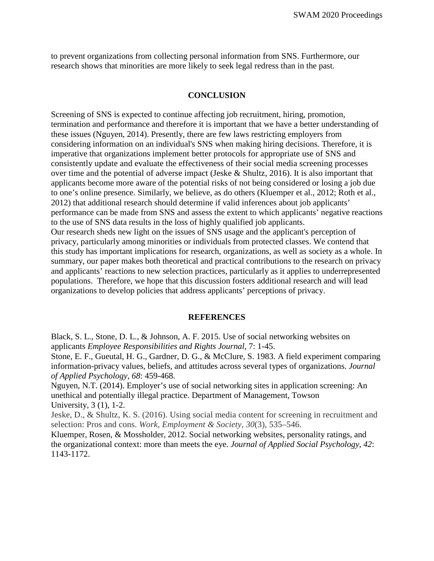to prevent organizations from collecting personal information from SNS. Furthermore, our research shows that minorities are more likely to seek legal redress than in the past.

#### **CONCLUSION**

Screening of SNS is expected to continue affecting job recruitment, hiring, promotion, termination and performance and therefore it is important that we have a better understanding of these issues (Nguyen, 2014). Presently, there are few laws restricting employers from considering information on an individual's SNS when making hiring decisions. Therefore, it is imperative that organizations implement better protocols for appropriate use of SNS and consistently update and evaluate the effectiveness of their social media screening processes over time and the potential of adverse impact (Jeske & Shultz, 2016). It is also important that applicants become more aware of the potential risks of not being considered or losing a job due to one's online presence. Similarly, we believe, as do others (Kluemper et al., 2012; Roth et al., 2012) that additional research should determine if valid inferences about job applicants' performance can be made from SNS and assess the extent to which applicants' negative reactions to the use of SNS data results in the loss of highly qualified job applicants. Our research sheds new light on the issues of SNS usage and the applicant's perception of privacy, particularly among minorities or individuals from protected classes. We contend that this study has important implications for research, organizations, as well as society as a whole. In summary, our paper makes both theoretical and practical contributions to the research on privacy and applicants' reactions to new selection practices, particularly as it applies to underrepresented populations. Therefore, we hope that this discussion fosters additional research and will lead organizations to develop policies that address applicants' perceptions of privacy.

#### **REFERENCES**

Black, S. L., Stone, D. L., & Johnson, A. F. 2015. Use of social networking websites on applicants *Employee Responsibilities and Rights Journal,* 7: 1-45.

Stone, E. F., Gueutal, H. G., Gardner, D. G., & McClure, S. 1983. A field experiment comparing information-privacy values, beliefs, and attitudes across several types of organizations. *Journal of Applied Psychology, 68*: 459-468.

Nguyen, N.T. (2014). Employer's use of social networking sites in application screening: An unethical and potentially illegal practice. Department of Management, Towson University, 3 (1), 1-2.

Jeske, D., & Shultz, K. S. (2016). Using social media content for screening in recruitment and selection: Pros and cons. *Work, Employment & Society, 30*(3), 535–546.

Kluemper, Rosen, & Mossholder, 2012. Social networking websites, personality ratings, and the organizational context: more than meets the eye. *Journal of Applied Social Psychology, 42*: 1143-1172.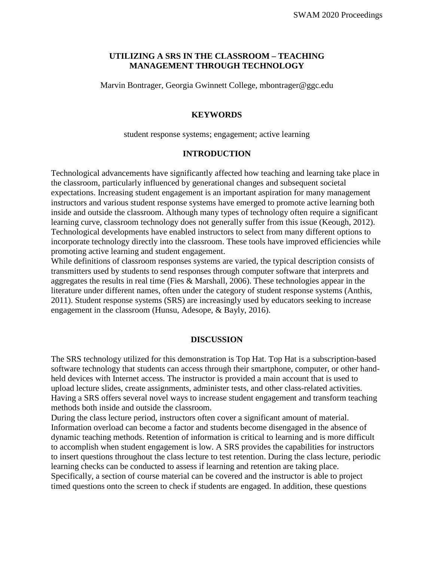# **UTILIZING A SRS IN THE CLASSROOM – TEACHING MANAGEMENT THROUGH TECHNOLOGY**

Marvin Bontrager, Georgia Gwinnett College, mbontrager@ggc.edu

### **KEYWORDS**

student response systems; engagement; active learning

### **INTRODUCTION**

Technological advancements have significantly affected how teaching and learning take place in the classroom, particularly influenced by generational changes and subsequent societal expectations. Increasing student engagement is an important aspiration for many management instructors and various student response systems have emerged to promote active learning both inside and outside the classroom. Although many types of technology often require a significant learning curve, classroom technology does not generally suffer from this issue (Keough, 2012). Technological developments have enabled instructors to select from many different options to incorporate technology directly into the classroom. These tools have improved efficiencies while promoting active learning and student engagement.

While definitions of classroom responses systems are varied, the typical description consists of transmitters used by students to send responses through computer software that interprets and aggregates the results in real time (Fies & Marshall, 2006). These technologies appear in the literature under different names, often under the category of student response systems (Anthis, 2011). Student response systems (SRS) are increasingly used by educators seeking to increase engagement in the classroom (Hunsu, Adesope, & Bayly, 2016).

### **DISCUSSION**

The SRS technology utilized for this demonstration is Top Hat. Top Hat is a subscription-based software technology that students can access through their smartphone, computer, or other handheld devices with Internet access. The instructor is provided a main account that is used to upload lecture slides, create assignments, administer tests, and other class-related activities. Having a SRS offers several novel ways to increase student engagement and transform teaching methods both inside and outside the classroom.

During the class lecture period, instructors often cover a significant amount of material. Information overload can become a factor and students become disengaged in the absence of dynamic teaching methods. Retention of information is critical to learning and is more difficult to accomplish when student engagement is low. A SRS provides the capabilities for instructors to insert questions throughout the class lecture to test retention. During the class lecture, periodic learning checks can be conducted to assess if learning and retention are taking place. Specifically, a section of course material can be covered and the instructor is able to project timed questions onto the screen to check if students are engaged. In addition, these questions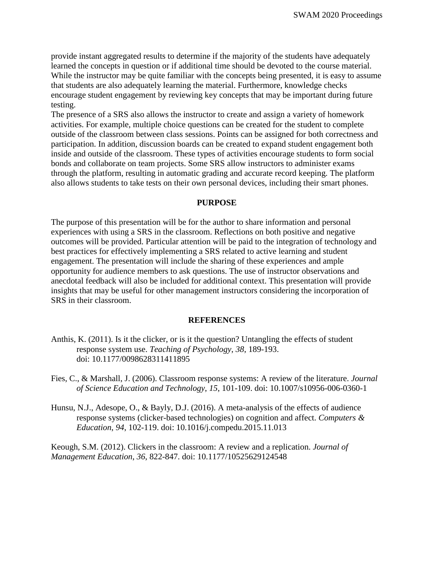provide instant aggregated results to determine if the majority of the students have adequately learned the concepts in question or if additional time should be devoted to the course material. While the instructor may be quite familiar with the concepts being presented, it is easy to assume that students are also adequately learning the material. Furthermore, knowledge checks encourage student engagement by reviewing key concepts that may be important during future testing.

The presence of a SRS also allows the instructor to create and assign a variety of homework activities. For example, multiple choice questions can be created for the student to complete outside of the classroom between class sessions. Points can be assigned for both correctness and participation. In addition, discussion boards can be created to expand student engagement both inside and outside of the classroom. These types of activities encourage students to form social bonds and collaborate on team projects. Some SRS allow instructors to administer exams through the platform, resulting in automatic grading and accurate record keeping. The platform also allows students to take tests on their own personal devices, including their smart phones.

### **PURPOSE**

The purpose of this presentation will be for the author to share information and personal experiences with using a SRS in the classroom. Reflections on both positive and negative outcomes will be provided. Particular attention will be paid to the integration of technology and best practices for effectively implementing a SRS related to active learning and student engagement. The presentation will include the sharing of these experiences and ample opportunity for audience members to ask questions. The use of instructor observations and anecdotal feedback will also be included for additional context. This presentation will provide insights that may be useful for other management instructors considering the incorporation of SRS in their classroom.

#### **REFERENCES**

- Anthis, K. (2011). Is it the clicker, or is it the question? Untangling the effects of student response system use. *Teaching of Psychology*, *38*, 189-193. doi: 10.1177/0098628311411895
- Fies, C., & Marshall, J. (2006). Classroom response systems: A review of the literature. *Journal of Science Education and Technology*, *15*, 101-109. doi: 10.1007/s10956-006-0360-1
- Hunsu, N.J., Adesope, O., & Bayly, D.J. (2016). A meta-analysis of the effects of audience response systems (clicker-based technologies) on cognition and affect. *Computers & Education*, *94*, 102-119. doi: 10.1016/j.compedu.2015.11.013

Keough, S.M. (2012). Clickers in the classroom: A review and a replication. *Journal of Management Education*, *36*, 822-847. doi: 10.1177/10525629124548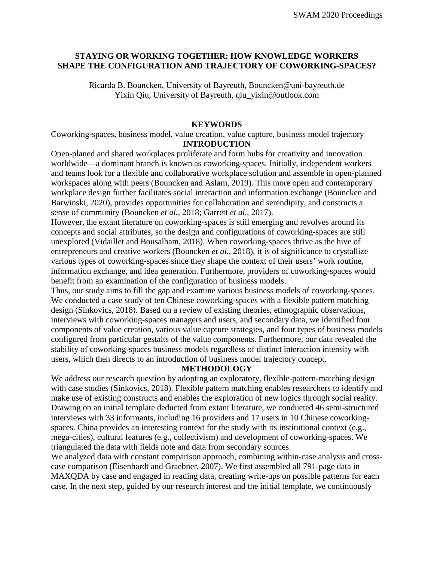# **STAYING OR WORKING TOGETHER: HOW KNOWLEDGE WORKERS SHAPE THE CONFIGURATION AND TRAJECTORY OF COWORKING-SPACES?**

Ricarda B. Bouncken, University of Bayreuth, Bouncken@uni-bayreuth.de Yixin Qiu, University of Bayreuth, qiu\_yixin@outlook.com

# **KEYWORDS**

Coworking-spaces, business model, value creation, value capture, business model trajectory **INTRODUCTION**

Open-planed and shared workplaces proliferate and form hubs for creativity and innovation worldwide—a dominant branch is known as coworking-spaces. Initially, independent workers and teams look for a flexible and collaborative workplace solution and assemble in open-planned workspaces along with peers (Bouncken and Aslam, 2019). This more open and contemporary workplace design further facilitates social interaction and information exchange (Bouncken and Barwinski, 2020), provides opportunities for collaboration and serendipity, and constructs a sense of community (Bouncken *et al.*, 2018; Garrett *et al.*, 2017).

However, the extant literature on coworking-spaces is still emerging and revolves around its concepts and social attributes, so the design and configurations of coworking-spaces are still unexplored (Vidaillet and Bousalham, 2018). When coworking-spaces thrive as the hive of entrepreneurs and creative workers (Bouncken *et al.*, 2018), it is of significance to crystallize various types of coworking-spaces since they shape the context of their users' work routine, information exchange, and idea generation. Furthermore, providers of coworking-spaces would benefit from an examination of the configuration of business models.

Thus, our study aims to fill the gap and examine various business models of coworking-spaces. We conducted a case study of ten Chinese coworking-spaces with a flexible pattern matching design (Sinkovics, 2018). Based on a review of existing theories, ethnographic observations, interviews with coworking-spaces managers and users, and secondary data, we identified four components of value creation, various value capture strategies, and four types of business models configured from particular gestalts of the value components. Furthermore, our data revealed the stability of coworking-spaces business models regardless of distinct interaction intensity with users, which then directs to an introduction of business model trajectory concept.

### **METHODOLOGY**

We address our research question by adopting an exploratory, flexible-pattern-matching design with case studies (Sinkovics, 2018). Flexible pattern matching enables researchers to identify and make use of existing constructs and enables the exploration of new logics through social reality. Drawing on an initial template deducted from extant literature, we conducted 46 semi-structured interviews with 33 informants, including 16 providers and 17 users in 10 Chinese coworkingspaces. China provides an interesting context for the study with its institutional context (e.g., mega-cities), cultural features (e.g., collectivism) and development of coworking-spaces. We triangulated the data with fields note and data from secondary sources.

We analyzed data with constant comparison approach, combining within-case analysis and crosscase comparison (Eisenhardt and Graebner, 2007). We first assembled all 791-page data in MAXQDA by case and engaged in reading data, creating write-ups on possible patterns for each case. In the next step, guided by our research interest and the initial template, we continuously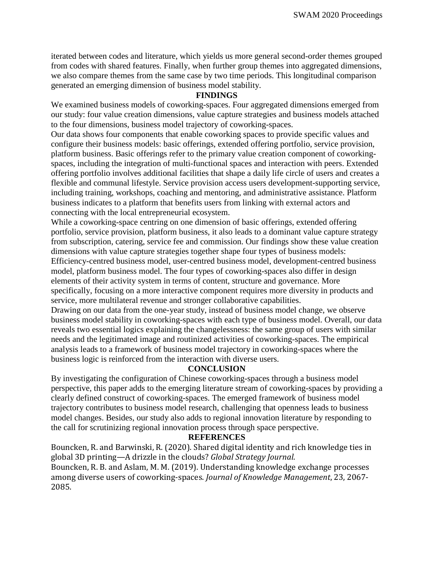iterated between codes and literature, which yields us more general second-order themes grouped from codes with shared features. Finally, when further group themes into aggregated dimensions, we also compare themes from the same case by two time periods. This longitudinal comparison generated an emerging dimension of business model stability.

### **FINDINGS**

We examined business models of coworking-spaces. Four aggregated dimensions emerged from our study: four value creation dimensions, value capture strategies and business models attached to the four dimensions, business model trajectory of coworking-spaces.

Our data shows four components that enable coworking spaces to provide specific values and configure their business models: basic offerings, extended offering portfolio, service provision, platform business. Basic offerings refer to the primary value creation component of coworkingspaces, including the integration of multi-functional spaces and interaction with peers. Extended offering portfolio involves additional facilities that shape a daily life circle of users and creates a flexible and communal lifestyle. Service provision access users development-supporting service, including training, workshops, coaching and mentoring, and administrative assistance. Platform business indicates to a platform that benefits users from linking with external actors and connecting with the local entrepreneurial ecosystem.

While a coworking-space centring on one dimension of basic offerings, extended offering portfolio, service provision, platform business, it also leads to a dominant value capture strategy from subscription, catering, service fee and commission. Our findings show these value creation dimensions with value capture strategies together shape four types of business models: Efficiency-centred business model, user-centred business model, development-centred business model, platform business model. The four types of coworking-spaces also differ in design elements of their activity system in terms of content, structure and governance. More specifically, focusing on a more interactive component requires more diversity in products and service, more multilateral revenue and stronger collaborative capabilities.

Drawing on our data from the one-year study, instead of business model change, we observe business model stability in coworking-spaces with each type of business model. Overall, our data reveals two essential logics explaining the changelessness: the same group of users with similar needs and the legitimated image and routinized activities of coworking-spaces. The empirical analysis leads to a framework of business model trajectory in coworking-spaces where the business logic is reinforced from the interaction with diverse users.

# **CONCLUSION**

By investigating the configuration of Chinese coworking-spaces through a business model perspective, this paper adds to the emerging literature stream of coworking-spaces by providing a clearly defined construct of coworking-spaces. The emerged framework of business model trajectory contributes to business model research, challenging that openness leads to business model changes. Besides, our study also adds to regional innovation literature by responding to the call for scrutinizing regional innovation process through space perspective.

# **REFERENCES**

Bouncken, R. and Barwinski, R. (2020). Shared digital identity and rich knowledge ties in global 3D printing—A drizzle in the clouds? *Global Strategy Journal*.

Bouncken, R. B. and Aslam, M. M. (2019). Understanding knowledge exchange processes among diverse users of coworking-spaces. *Journal of Knowledge Management*, 23, 2067- 2085.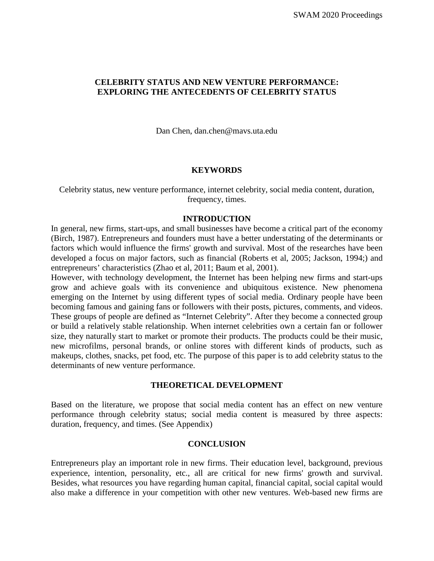# **CELEBRITY STATUS AND NEW VENTURE PERFORMANCE: EXPLORING THE ANTECEDENTS OF CELEBRITY STATUS**

Dan Chen, [dan.chen@mavs.uta.edu](mailto:dan.chen@mavs.uta.edu)

#### **KEYWORDS**

Celebrity status, new venture performance, internet celebrity, social media content, duration, frequency, times.

#### **INTRODUCTION**

In general, new firms, start-ups, and small businesses have become a critical part of the economy (Birch, 1987). Entrepreneurs and founders must have a better understating of the determinants or factors which would influence the firms' growth and survival. Most of the researches have been developed a focus on major factors, such as financial (Roberts et al, 2005; Jackson, 1994;) and entrepreneurs' characteristics (Zhao et al, 2011; Baum et al, 2001).

However, with technology development, the Internet has been helping new firms and start-ups grow and achieve goals with its convenience and ubiquitous existence. New phenomena emerging on the Internet by using different types of social media. Ordinary people have been becoming famous and gaining fans or followers with their posts, pictures, comments, and videos. These groups of people are defined as "Internet Celebrity". After they become a connected group or build a relatively stable relationship. When internet celebrities own a certain fan or follower size, they naturally start to market or promote their products. The products could be their music, new microfilms, personal brands, or online stores with different kinds of products, such as makeups, clothes, snacks, pet food, etc. The purpose of this paper is to add celebrity status to the determinants of new venture performance.

#### **THEORETICAL DEVELOPMENT**

Based on the literature, we propose that social media content has an effect on new venture performance through celebrity status; social media content is measured by three aspects: duration, frequency, and times. (See Appendix)

# **CONCLUSION**

Entrepreneurs play an important role in new firms. Their education level, background, previous experience, intention, personality, etc., all are critical for new firms' growth and survival. Besides, what resources you have regarding human capital, financial capital, social capital would also make a difference in your competition with other new ventures. Web-based new firms are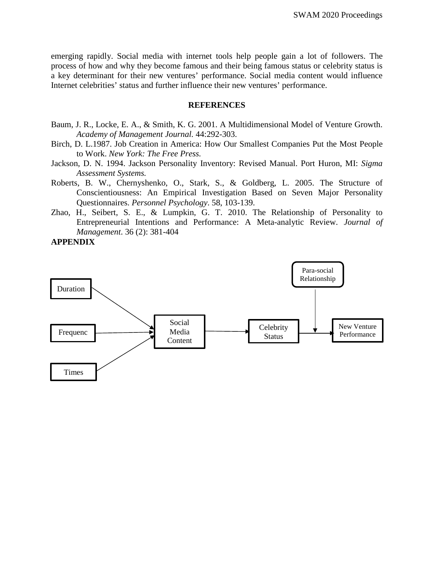emerging rapidly. Social media with internet tools help people gain a lot of followers. The process of how and why they become famous and their being famous status or celebrity status is a key determinant for their new ventures' performance. Social media content would influence Internet celebrities' status and further influence their new ventures' performance.

#### **REFERENCES**

- Baum, J. R., Locke, E. A., & Smith, K. G. 2001. A Multidimensional Model of Venture Growth. *Academy of Management Journal.* 44:292-303.
- Birch, D. L.1987. Job Creation in America: How Our Smallest Companies Put the Most People to Work. *New York: The Free Press.*
- Jackson, D. N. 1994. Jackson Personality Inventory: Revised Manual. Port Huron, MI: *Sigma Assessment Systems.*
- Roberts, B. W., Chernyshenko, O., Stark, S., & Goldberg, L. 2005. The Structure of Conscientiousness: An Empirical Investigation Based on Seven Major Personality Questionnaires. *Personnel Psychology*. 58, 103-139.
- Zhao, H., Seibert, S. E., & Lumpkin, G. T. 2010. The Relationship of Personality to Entrepreneurial Intentions and Performance: A Meta-analytic Review. *Journal of Management*. 36 (2): 381-404

# **APPENDIX**

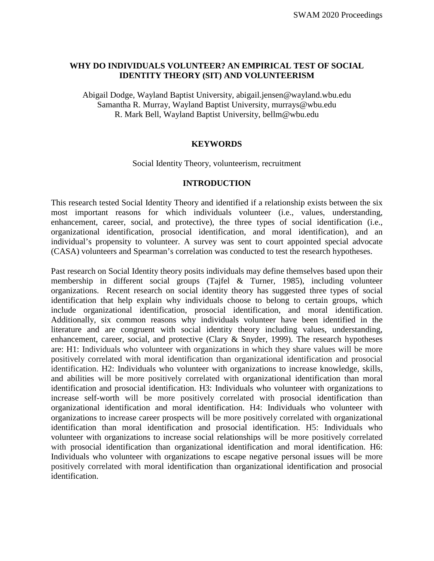# **WHY DO INDIVIDUALS VOLUNTEER? AN EMPIRICAL TEST OF SOCIAL IDENTITY THEORY (SIT) AND VOLUNTEERISM**

Abigail Dodge, Wayland Baptist University, abigail.jensen@wayland.wbu.edu Samantha R. Murray, Wayland Baptist University, murrays@wbu.edu R. Mark Bell, Wayland Baptist University, bellm@wbu.edu

# **KEYWORDS**

Social Identity Theory, volunteerism, recruitment

# **INTRODUCTION**

This research tested Social Identity Theory and identified if a relationship exists between the six most important reasons for which individuals volunteer (i.e., values, understanding, enhancement, career, social, and protective), the three types of social identification (i.e., organizational identification, prosocial identification, and moral identification), and an individual's propensity to volunteer. A survey was sent to court appointed special advocate (CASA) volunteers and Spearman's correlation was conducted to test the research hypotheses.

Past research on Social Identity theory posits individuals may define themselves based upon their membership in different social groups (Tajfel & Turner, 1985), including volunteer organizations. Recent research on social identity theory has suggested three types of social identification that help explain why individuals choose to belong to certain groups, which include organizational identification, prosocial identification, and moral identification. Additionally, six common reasons why individuals volunteer have been identified in the literature and are congruent with social identity theory including values, understanding, enhancement, career, social, and protective (Clary & Snyder, 1999). The research hypotheses are: H1: Individuals who volunteer with organizations in which they share values will be more positively correlated with moral identification than organizational identification and prosocial identification. H2: Individuals who volunteer with organizations to increase knowledge, skills, and abilities will be more positively correlated with organizational identification than moral identification and prosocial identification. H3: Individuals who volunteer with organizations to increase self-worth will be more positively correlated with prosocial identification than organizational identification and moral identification. H4: Individuals who volunteer with organizations to increase career prospects will be more positively correlated with organizational identification than moral identification and prosocial identification. H5: Individuals who volunteer with organizations to increase social relationships will be more positively correlated with prosocial identification than organizational identification and moral identification. H6: Individuals who volunteer with organizations to escape negative personal issues will be more positively correlated with moral identification than organizational identification and prosocial identification.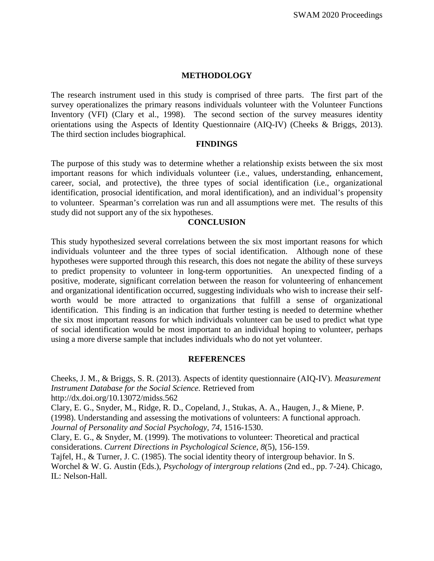### **METHODOLOGY**

The research instrument used in this study is comprised of three parts. The first part of the survey operationalizes the primary reasons individuals volunteer with the Volunteer Functions Inventory (VFI) (Clary et al., 1998). The second section of the survey measures identity orientations using the Aspects of Identity Questionnaire (AIQ-IV) (Cheeks & Briggs, 2013). The third section includes biographical.

#### **FINDINGS**

The purpose of this study was to determine whether a relationship exists between the six most important reasons for which individuals volunteer (i.e., values, understanding, enhancement, career, social, and protective), the three types of social identification (i.e., organizational identification, prosocial identification, and moral identification), and an individual's propensity to volunteer. Spearman's correlation was run and all assumptions were met. The results of this study did not support any of the six hypotheses.

### **CONCLUSION**

This study hypothesized several correlations between the six most important reasons for which individuals volunteer and the three types of social identification. Although none of these hypotheses were supported through this research, this does not negate the ability of these surveys to predict propensity to volunteer in long-term opportunities. An unexpected finding of a positive, moderate, significant correlation between the reason for volunteering of enhancement and organizational identification occurred, suggesting individuals who wish to increase their selfworth would be more attracted to organizations that fulfill a sense of organizational identification. This finding is an indication that further testing is needed to determine whether the six most important reasons for which individuals volunteer can be used to predict what type of social identification would be most important to an individual hoping to volunteer, perhaps using a more diverse sample that includes individuals who do not yet volunteer.

#### **REFERENCES**

Cheeks, J. M., & Briggs, S. R. (2013). Aspects of identity questionnaire (AIQ-IV). *Measurement Instrument Database for the Social Science.* Retrieved from http://dx.doi.org/10.13072/midss.562 Clary, E. G., Snyder, M., Ridge, R. D., Copeland, J., Stukas, A. A., Haugen, J., & Miene, P. (1998). Understanding and assessing the motivations of volunteers: A functional approach. *Journal of Personality and Social Psychology, 74,* 1516-1530. Clary, E. G., & Snyder, M. (1999). The motivations to volunteer: Theoretical and practical considerations. *Current Directions in Psychological Science, 8*(5), 156-159. Tajfel, H., & Turner, J. C. (1985). The social identity theory of intergroup behavior. In S.

Worchel & W. G. Austin (Eds.), *Psychology of intergroup relations* (2nd ed., pp. 7-24). Chicago, IL: Nelson-Hall.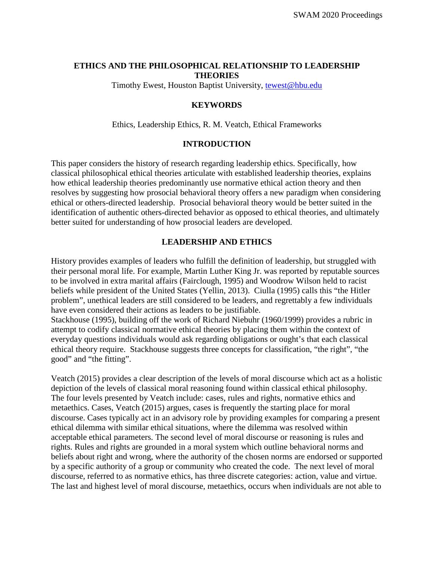# **ETHICS AND THE PHILOSOPHICAL RELATIONSHIP TO LEADERSHIP THEORIES**

Timothy Ewest, Houston Baptist University, [tewest@hbu.edu](mailto:tewest@hbu.edu)

# **KEYWORDS**

Ethics, Leadership Ethics, R. M. Veatch, Ethical Frameworks

# **INTRODUCTION**

This paper considers the history of research regarding leadership ethics. Specifically, how classical philosophical ethical theories articulate with established leadership theories, explains how ethical leadership theories predominantly use normative ethical action theory and then resolves by suggesting how prosocial behavioral theory offers a new paradigm when considering ethical or others-directed leadership. Prosocial behavioral theory would be better suited in the identification of authentic others-directed behavior as opposed to ethical theories, and ultimately better suited for understanding of how prosocial leaders are developed.

# **LEADERSHIP AND ETHICS**

History provides examples of leaders who fulfill the definition of leadership, but struggled with their personal moral life. For example, Martin Luther King Jr. was reported by reputable sources to be involved in extra marital affairs (Fairclough, 1995) and Woodrow Wilson held to racist beliefs while president of the United States (Yellin, 2013). Ciulla (1995) calls this "the Hitler problem", unethical leaders are still considered to be leaders, and regrettably a few individuals have even considered their actions as leaders to be justifiable.

Stackhouse (1995), building off the work of Richard Niebuhr (1960/1999) provides a rubric in attempt to codify classical normative ethical theories by placing them within the context of everyday questions individuals would ask regarding obligations or ought's that each classical ethical theory require. Stackhouse suggests three concepts for classification, "the right", "the good" and "the fitting".

Veatch (2015) provides a clear description of the levels of moral discourse which act as a holistic depiction of the levels of classical moral reasoning found within classical ethical philosophy. The four levels presented by Veatch include: cases, rules and rights, normative ethics and metaethics. Cases, Veatch (2015) argues, cases is frequently the starting place for moral discourse. Cases typically act in an advisory role by providing examples for comparing a present ethical dilemma with similar ethical situations, where the dilemma was resolved within acceptable ethical parameters. The second level of moral discourse or reasoning is rules and rights. Rules and rights are grounded in a moral system which outline behavioral norms and beliefs about right and wrong, where the authority of the chosen norms are endorsed or supported by a specific authority of a group or community who created the code. The next level of moral discourse, referred to as normative ethics, has three discrete categories: action, value and virtue. The last and highest level of moral discourse, metaethics, occurs when individuals are not able to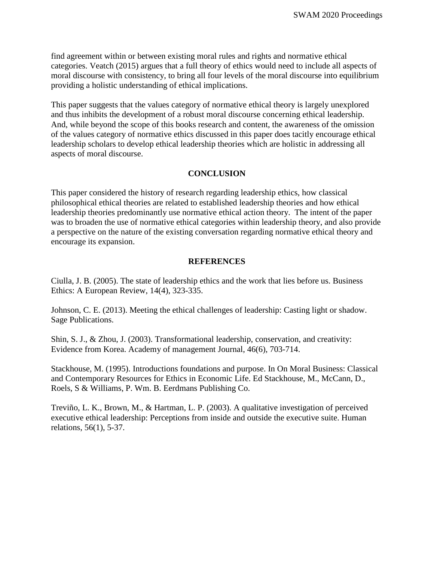find agreement within or between existing moral rules and rights and normative ethical categories. Veatch (2015) argues that a full theory of ethics would need to include all aspects of moral discourse with consistency, to bring all four levels of the moral discourse into equilibrium providing a holistic understanding of ethical implications.

This paper suggests that the values category of normative ethical theory is largely unexplored and thus inhibits the development of a robust moral discourse concerning ethical leadership. And, while beyond the scope of this books research and content, the awareness of the omission of the values category of normative ethics discussed in this paper does tacitly encourage ethical leadership scholars to develop ethical leadership theories which are holistic in addressing all aspects of moral discourse.

#### **CONCLUSION**

This paper considered the history of research regarding leadership ethics, how classical philosophical ethical theories are related to established leadership theories and how ethical leadership theories predominantly use normative ethical action theory. The intent of the paper was to broaden the use of normative ethical categories within leadership theory, and also provide a perspective on the nature of the existing conversation regarding normative ethical theory and encourage its expansion.

#### **REFERENCES**

Ciulla, J. B. (2005). The state of leadership ethics and the work that lies before us. Business Ethics: A European Review, 14(4), 323-335.

Johnson, C. E. (2013). Meeting the ethical challenges of leadership: Casting light or shadow. Sage Publications.

Shin, S. J., & Zhou, J. (2003). Transformational leadership, conservation, and creativity: Evidence from Korea. Academy of management Journal, 46(6), 703-714.

Stackhouse, M. (1995). Introductions foundations and purpose. In On Moral Business: Classical and Contemporary Resources for Ethics in Economic Life. Ed Stackhouse, M., McCann, D., Roels, S & Williams, P. Wm. B. Eerdmans Publishing Co.

Treviño, L. K., Brown, M., & Hartman, L. P. (2003). A qualitative investigation of perceived executive ethical leadership: Perceptions from inside and outside the executive suite. Human relations, 56(1), 5-37.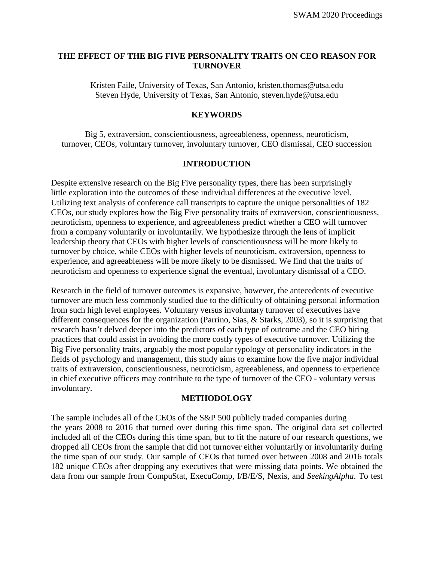# **THE EFFECT OF THE BIG FIVE PERSONALITY TRAITS ON CEO REASON FOR TURNOVER**

Kristen Faile, University of Texas, San Antonio, [kristen.thomas@utsa.edu](mailto:kristen.thomas@utsa.edu) Steven Hyde, University of Texas, San Antonio, [steven.hyde@utsa.edu](mailto:steven.hyde@utsa.edu)

#### **KEYWORDS**

Big 5, extraversion, conscientiousness, agreeableness, openness, neuroticism, turnover, CEOs, voluntary turnover, involuntary turnover, CEO dismissal, CEO succession

# **INTRODUCTION**

Despite extensive research on the Big Five personality types, there has been surprisingly little exploration into the outcomes of these individual differences at the executive level. Utilizing text analysis of conference call transcripts to capture the unique personalities of 182 CEOs, our study explores how the Big Five personality traits of extraversion, conscientiousness, neuroticism, openness to experience, and agreeableness predict whether a CEO will turnover from a company voluntarily or involuntarily. We hypothesize through the lens of implicit leadership theory that CEOs with higher levels of conscientiousness will be more likely to turnover by choice, while CEOs with higher levels of neuroticism, extraversion, openness to experience, and agreeableness will be more likely to be dismissed. We find that the traits of neuroticism and openness to experience signal the eventual, involuntary dismissal of a CEO.

Research in the field of turnover outcomes is expansive, however, the antecedents of executive turnover are much less commonly studied due to the difficulty of obtaining personal information from such high level employees. Voluntary versus involuntary turnover of executives have different consequences for the organization (Parrino, Sias, & Starks, 2003), so it is surprising that research hasn't delved deeper into the predictors of each type of outcome and the CEO hiring practices that could assist in avoiding the more costly types of executive turnover. Utilizing the Big Five personality traits, arguably the most popular typology of personality indicators in the fields of psychology and management, this study aims to examine how the five major individual traits of extraversion, conscientiousness, neuroticism, agreeableness, and openness to experience in chief executive officers may contribute to the type of turnover of the CEO - voluntary versus involuntary.

#### **METHODOLOGY**

The sample includes all of the CEOs of the S&P 500 publicly traded companies during the years 2008 to 2016 that turned over during this time span. The original data set collected included all of the CEOs during this time span, but to fit the nature of our research questions, we dropped all CEOs from the sample that did not turnover either voluntarily or involuntarily during the time span of our study. Our sample of CEOs that turned over between 2008 and 2016 totals 182 unique CEOs after dropping any executives that were missing data points. We obtained the data from our sample from CompuStat, ExecuComp, I/B/E/S, Nexis, and *SeekingAlpha*. To test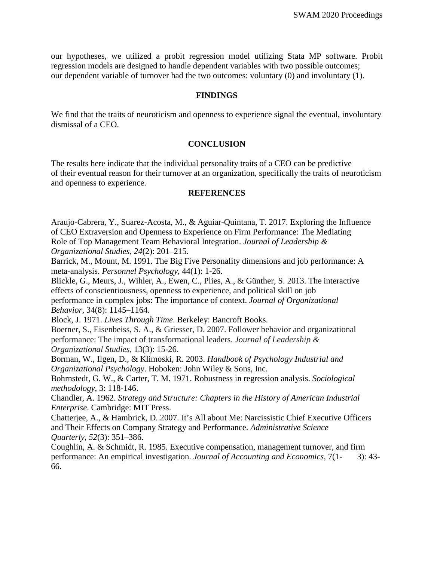our hypotheses, we utilized a probit regression model utilizing Stata MP software. Probit regression models are designed to handle dependent variables with two possible outcomes; our dependent variable of turnover had the two outcomes: voluntary (0) and involuntary (1).

#### **FINDINGS**

We find that the traits of neuroticism and openness to experience signal the eventual, involuntary dismissal of a CEO.

### **CONCLUSION**

The results here indicate that the individual personality traits of a CEO can be predictive of their eventual reason for their turnover at an organization, specifically the traits of neuroticism and openness to experience.

#### **REFERENCES**

Araujo-Cabrera, Y., Suarez-Acosta, M., & Aguiar-Quintana, T. 2017. Exploring the Influence of CEO Extraversion and Openness to Experience on Firm Performance: The Mediating Role of Top Management Team Behavioral Integration. *Journal of Leadership & Organizational Studies*, *24*(2): 201–215.

Barrick, M., Mount, M. 1991. The Big Five Personality dimensions and job performance: A meta-analysis. *Personnel Psychology*, 44(1): 1-26.

Blickle, G., Meurs, J., Wihler, A., Ewen, C., Plies, A., & Günther, S. 2013. The interactive effects of conscientiousness, openness to experience, and political skill on job performance in complex jobs: The importance of context. *Journal of Organizational Behavior*, 34(8): 1145–1164.

Block, J. 1971. *Lives Through Time*. Berkeley: Bancroft Books.

Boerner, S., Eisenbeiss, S. A., & Griesser, D. 2007. Follower behavior and organizational performance: The impact of transformational leaders. *Journal of Leadership & Organizational Studies*, 13(3): 15-26.

Borman, W., Ilgen, D., & Klimoski, R. 2003. *Handbook of Psychology Industrial and Organizational Psychology*. Hoboken: John Wiley & Sons, Inc.

Bohrnstedt, G. W., & Carter, T. M. 1971. Robustness in regression analysis. *Sociological methodology*, 3: 118-146.

Chandler, A. 1962. *Strategy and Structure: Chapters in the History of American Industrial Enterprise*. Cambridge: MIT Press.

Chatterjee, A., & Hambrick, D. 2007. It's All about Me: Narcissistic Chief Executive Officers and Their Effects on Company Strategy and Performance. *Administrative Science Quarterly*, *52*(3): 351–386.

Coughlin, A. & Schmidt, R. 1985. Executive compensation, management turnover, and firm performance: An empirical investigation. *Journal of Accounting and Economics*, 7(1- 3): 43- 66.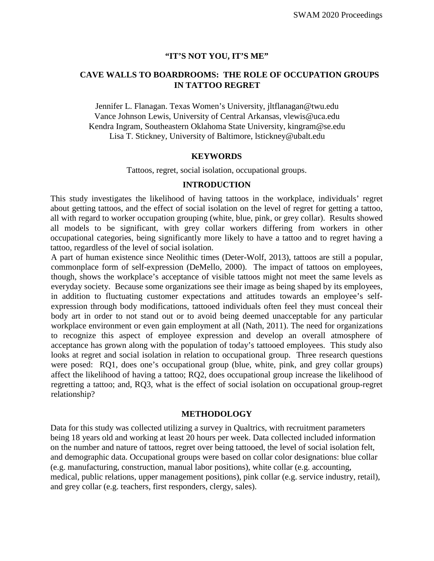### **"IT'S NOT YOU, IT'S ME"**

# **CAVE WALLS TO BOARDROOMS: THE ROLE OF OCCUPATION GROUPS IN TATTOO REGRET**

Jennifer L. Flanagan. Texas Women's University, jltflanagan@twu.edu Vance Johnson Lewis, University of Central Arkansas, vlewis@uca.edu Kendra Ingram, Southeastern Oklahoma State University, kingram@se.edu Lisa T. Stickney, University of Baltimore, lstickney@ubalt.edu

#### **KEYWORDS**

Tattoos, regret, social isolation, occupational groups.

### **INTRODUCTION**

This study investigates the likelihood of having tattoos in the workplace, individuals' regret about getting tattoos, and the effect of social isolation on the level of regret for getting a tattoo, all with regard to worker occupation grouping (white, blue, pink, or grey collar). Results showed all models to be significant, with grey collar workers differing from workers in other occupational categories, being significantly more likely to have a tattoo and to regret having a tattoo, regardless of the level of social isolation.

A part of human existence since Neolithic times (Deter-Wolf, 2013), tattoos are still a popular, commonplace form of self-expression (DeMello, 2000). The impact of tattoos on employees, though, shows the workplace's acceptance of visible tattoos might not meet the same levels as everyday society. Because some organizations see their image as being shaped by its employees, in addition to fluctuating customer expectations and attitudes towards an employee's selfexpression through body modifications, tattooed individuals often feel they must conceal their body art in order to not stand out or to avoid being deemed unacceptable for any particular workplace environment or even gain employment at all (Nath, 2011). The need for organizations to recognize this aspect of employee expression and develop an overall atmosphere of acceptance has grown along with the population of today's tattooed employees. This study also looks at regret and social isolation in relation to occupational group. Three research questions were posed: RQ1, does one's occupational group (blue, white, pink, and grey collar groups) affect the likelihood of having a tattoo; RQ2, does occupational group increase the likelihood of regretting a tattoo; and, RQ3, what is the effect of social isolation on occupational group-regret relationship?

#### **METHODOLOGY**

Data for this study was collected utilizing a survey in Qualtrics, with recruitment parameters being 18 years old and working at least 20 hours per week. Data collected included information on the number and nature of tattoos, regret over being tattooed, the level of social isolation felt, and demographic data. Occupational groups were based on collar color designations: blue collar (e.g. manufacturing, construction, manual labor positions), white collar (e.g. accounting, medical, public relations, upper management positions), pink collar (e.g. service industry, retail), and grey collar (e.g. teachers, first responders, clergy, sales).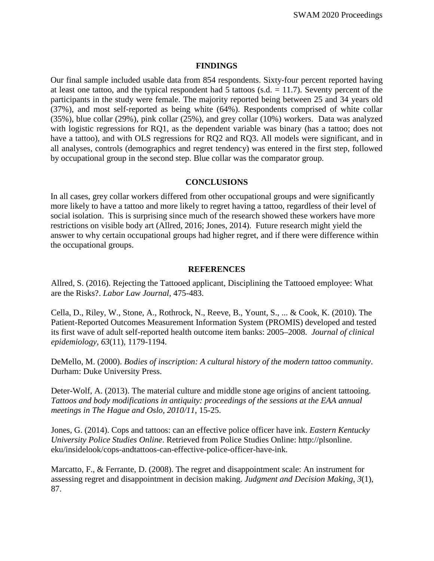### **FINDINGS**

Our final sample included usable data from 854 respondents. Sixty-four percent reported having at least one tattoo, and the typical respondent had 5 tattoos (s.d.  $= 11.7$ ). Seventy percent of the participants in the study were female. The majority reported being between 25 and 34 years old (37%), and most self-reported as being white (64%). Respondents comprised of white collar (35%), blue collar (29%), pink collar (25%), and grey collar (10%) workers. Data was analyzed with logistic regressions for RQ1, as the dependent variable was binary (has a tattoo; does not have a tattoo), and with OLS regressions for RQ2 and RQ3. All models were significant, and in all analyses, controls (demographics and regret tendency) was entered in the first step, followed by occupational group in the second step. Blue collar was the comparator group.

### **CONCLUSIONS**

In all cases, grey collar workers differed from other occupational groups and were significantly more likely to have a tattoo and more likely to regret having a tattoo, regardless of their level of social isolation. This is surprising since much of the research showed these workers have more restrictions on visible body art (Allred, 2016; Jones, 2014). Future research might yield the answer to why certain occupational groups had higher regret, and if there were difference within the occupational groups.

### **REFERENCES**

Allred, S. (2016). Rejecting the Tattooed applicant, Disciplining the Tattooed employee: What are the Risks?. *Labor Law Journal*, 475-483.

Cella, D., Riley, W., Stone, A., Rothrock, N., Reeve, B., Yount, S., ... & Cook, K. (2010). The Patient-Reported Outcomes Measurement Information System (PROMIS) developed and tested its first wave of adult self-reported health outcome item banks: 2005–2008. *Journal of clinical epidemiology*, *63*(11), 1179-1194.

DeMello, M. (2000). *Bodies of inscription: A cultural history of the modern tattoo community*. Durham: Duke University Press.

Deter-Wolf, A. (2013). The material culture and middle stone age origins of ancient tattooing. *Tattoos and body modifications in antiquity: proceedings of the sessions at the EAA annual meetings in The Hague and Oslo, 2010/11*, 15-25.

Jones, G. (2014). Cops and tattoos: can an effective police officer have ink. *Eastern Kentucky University Police Studies Online*. Retrieved from Police Studies Online: http://plsonline. eku/insidelook/cops-andtattoos-can-effective-police-officer-have-ink.

Marcatto, F., & Ferrante, D. (2008). The regret and disappointment scale: An instrument for assessing regret and disappointment in decision making. *Judgment and Decision Making*, *3*(1), 87.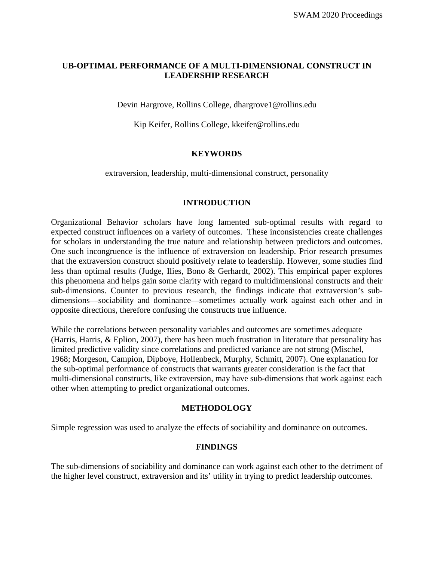# **UB-OPTIMAL PERFORMANCE OF A MULTI-DIMENSIONAL CONSTRUCT IN LEADERSHIP RESEARCH**

Devin Hargrove, Rollins College, [dhargrove1@rollins.edu](mailto:dhargrove1@rollins.edu)

Kip Keifer, Rollins College, [kkeifer@rollins.edu](mailto:kkeifer@rollins.edu)

# **KEYWORDS**

extraversion, leadership, multi-dimensional construct, personality

# **INTRODUCTION**

Organizational Behavior scholars have long lamented sub-optimal results with regard to expected construct influences on a variety of outcomes. These inconsistencies create challenges for scholars in understanding the true nature and relationship between predictors and outcomes. One such incongruence is the influence of extraversion on leadership. Prior research presumes that the extraversion construct should positively relate to leadership. However, some studies find less than optimal results (Judge, Ilies, Bono & Gerhardt, 2002). This empirical paper explores this phenomena and helps gain some clarity with regard to multidimensional constructs and their sub-dimensions. Counter to previous research, the findings indicate that extraversion's subdimensions—sociability and dominance—sometimes actually work against each other and in opposite directions, therefore confusing the constructs true influence.

While the correlations between personality variables and outcomes are sometimes adequate (Harris, Harris, & Eplion, 2007), there has been much frustration in literature that personality has limited predictive validity since correlations and predicted variance are not strong (Mischel, 1968; Morgeson, Campion, Dipboye, Hollenbeck, Murphy, Schmitt, 2007). One explanation for the sub-optimal performance of constructs that warrants greater consideration is the fact that multi-dimensional constructs, like extraversion, may have sub-dimensions that work against each other when attempting to predict organizational outcomes.

# **METHODOLOGY**

Simple regression was used to analyze the effects of sociability and dominance on outcomes.

# **FINDINGS**

The sub-dimensions of sociability and dominance can work against each other to the detriment of the higher level construct, extraversion and its' utility in trying to predict leadership outcomes.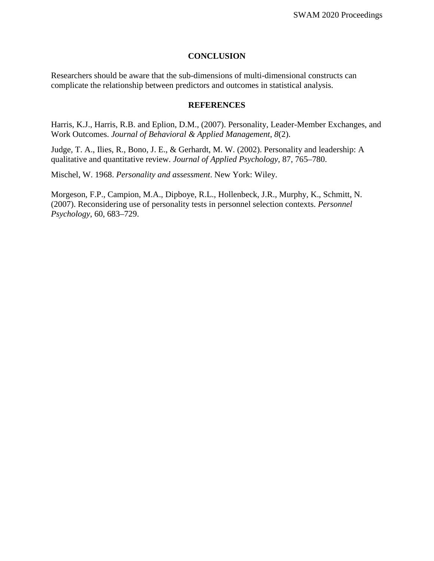### **CONCLUSION**

Researchers should be aware that the sub-dimensions of multi-dimensional constructs can complicate the relationship between predictors and outcomes in statistical analysis.

# **REFERENCES**

Harris, K.J., Harris, R.B. and Eplion, D.M., (2007). Personality, Leader-Member Exchanges, and Work Outcomes. *Journal of Behavioral & Applied Management*, *8*(2).

Judge, T. A., Ilies, R., Bono, J. E., & Gerhardt, M. W. (2002). Personality and leadership: A qualitative and quantitative review. *Journal of Applied Psychology*, 87, 765–780.

Mischel, W. 1968. *Personality and assessment*. New York: Wiley.

Morgeson, F.P., Campion, M.A., Dipboye, R.L., Hollenbeck, J.R., Murphy, K., Schmitt, N. (2007). Reconsidering use of personality tests in personnel selection contexts. *Personnel Psychology*, 60, 683–729.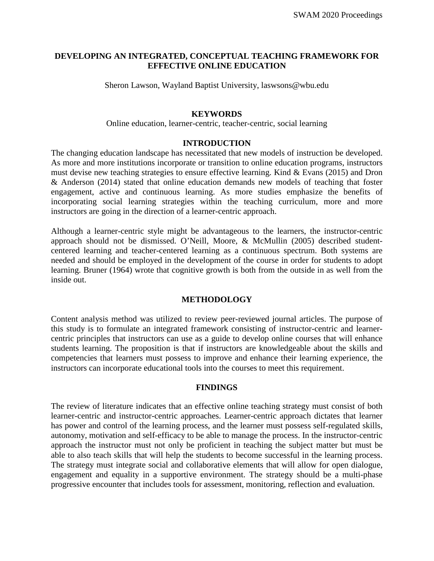# **DEVELOPING AN INTEGRATED, CONCEPTUAL TEACHING FRAMEWORK FOR EFFECTIVE ONLINE EDUCATION**

Sheron Lawson, Wayland Baptist University, laswsons@wbu.edu

### **KEYWORDS**

Online education, learner-centric, teacher-centric, social learning

#### **INTRODUCTION**

The changing education landscape has necessitated that new models of instruction be developed. As more and more institutions incorporate or transition to online education programs, instructors must devise new teaching strategies to ensure effective learning. Kind & Evans (2015) and Dron & Anderson (2014) stated that online education demands new models of teaching that foster engagement, active and continuous learning. As more studies emphasize the benefits of incorporating social learning strategies within the teaching curriculum, more and more instructors are going in the direction of a learner-centric approach.

Although a learner-centric style might be advantageous to the learners, the instructor-centric approach should not be dismissed. O'Neill, Moore, & McMullin (2005) described studentcentered learning and teacher-centered learning as a continuous spectrum. Both systems are needed and should be employed in the development of the course in order for students to adopt learning. Bruner (1964) wrote that cognitive growth is both from the outside in as well from the inside out.

# **METHODOLOGY**

Content analysis method was utilized to review peer-reviewed journal articles. The purpose of this study is to formulate an integrated framework consisting of instructor-centric and learnercentric principles that instructors can use as a guide to develop online courses that will enhance students learning. The proposition is that if instructors are knowledgeable about the skills and competencies that learners must possess to improve and enhance their learning experience, the instructors can incorporate educational tools into the courses to meet this requirement.

# **FINDINGS**

The review of literature indicates that an effective online teaching strategy must consist of both learner-centric and instructor-centric approaches. Learner-centric approach dictates that learner has power and control of the learning process, and the learner must possess self-regulated skills, autonomy, motivation and self-efficacy to be able to manage the process. In the instructor-centric approach the instructor must not only be proficient in teaching the subject matter but must be able to also teach skills that will help the students to become successful in the learning process. The strategy must integrate social and collaborative elements that will allow for open dialogue, engagement and equality in a supportive environment. The strategy should be a multi-phase progressive encounter that includes tools for assessment, monitoring, reflection and evaluation.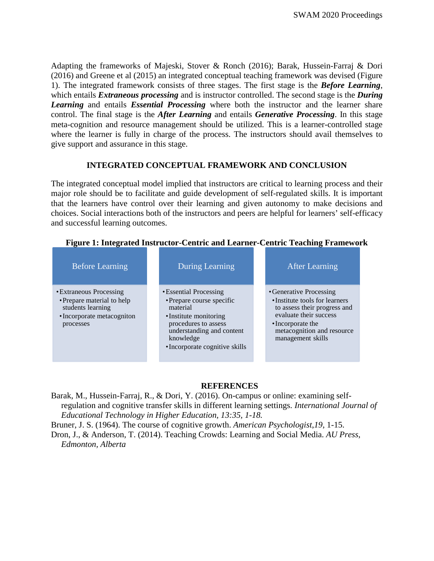Adapting the frameworks of Majeski, Stover & Ronch (2016); Barak, Hussein-Farraj & Dori (2016) and Greene et al (2015) an integrated conceptual teaching framework was devised (Figure 1). The integrated framework consists of three stages. The first stage is the *Before Learning*, which entails *Extraneous processing* and is instructor controlled. The second stage is the *During Learning* and entails *Essential Processing* where both the instructor and the learner share control. The final stage is the *After Learning* and entails *Generative Processing*. In this stage meta-cognition and resource management should be utilized. This is a learner-controlled stage where the learner is fully in charge of the process. The instructors should avail themselves to give support and assurance in this stage.

# **INTEGRATED CONCEPTUAL FRAMEWORK AND CONCLUSION**

The integrated conceptual model implied that instructors are critical to learning process and their major role should be to facilitate and guide development of self-regulated skills. It is important that the learners have control over their learning and given autonomy to make decisions and choices. Social interactions both of the instructors and peers are helpful for learners' self-efficacy and successful learning outcomes.

| <b>Before Learning</b>                                                                                                | <b>During Learning</b>                                                                                                                                                                        | After Learning                                                                                                                                                                             |
|-----------------------------------------------------------------------------------------------------------------------|-----------------------------------------------------------------------------------------------------------------------------------------------------------------------------------------------|--------------------------------------------------------------------------------------------------------------------------------------------------------------------------------------------|
| • Extraneous Processing<br>• Prepare material to help<br>students learning<br>• Incorporate metacogniton<br>processes | • Essential Processing<br>• Prepare course specific<br>material<br>• Institute monitoring<br>procedures to assess<br>understanding and content<br>knowledge<br>• Incorporate cognitive skills | • Generative Processing<br>• Institute tools for learners<br>to assess their progress and<br>evaluate their success<br>•Incorporate the<br>metacognition and resource<br>management skills |

# **Figure 1: Integrated Instructor-Centric and Learner-Centric Teaching Framework**

# **REFERENCES**

Barak, M., Hussein-Farraj, R., & Dori, Y. (2016). On-campus or online: examining selfregulation and cognitive transfer skills in different learning settings. *International Journal of Educational Technology in Higher Education, 13:35, 1-18.*

Bruner, J. S. (1964). The course of cognitive growth. *American Psychologist*,*19*, 1-15. Dron, J., & Anderson, T. (2014). Teaching Crowds: Learning and Social Media. *AU Press, Edmonton, Alberta*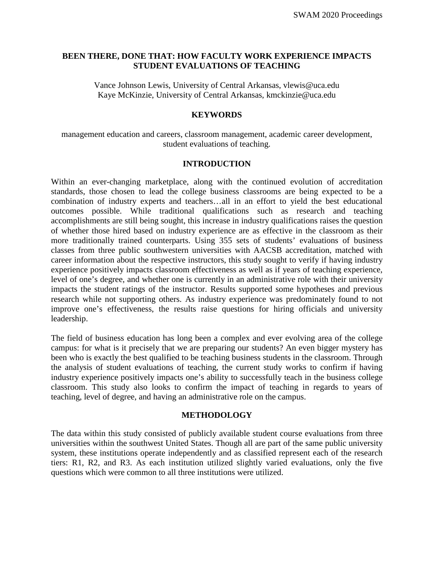# **BEEN THERE, DONE THAT: HOW FACULTY WORK EXPERIENCE IMPACTS STUDENT EVALUATIONS OF TEACHING**

Vance Johnson Lewis, University of Central Arkansas, [vlewis@uca.edu](mailto:vlewis@uca.edu) Kaye McKinzie, University of Central Arkansas, [kmckinzie@uca.edu](mailto:kmckinzie@uca.edu)

#### **KEYWORDS**

management education and careers, classroom management, academic career development, student evaluations of teaching.

### **INTRODUCTION**

Within an ever-changing marketplace, along with the continued evolution of accreditation standards, those chosen to lead the college business classrooms are being expected to be a combination of industry experts and teachers…all in an effort to yield the best educational outcomes possible. While traditional qualifications such as research and teaching accomplishments are still being sought, this increase in industry qualifications raises the question of whether those hired based on industry experience are as effective in the classroom as their more traditionally trained counterparts. Using 355 sets of students' evaluations of business classes from three public southwestern universities with AACSB accreditation, matched with career information about the respective instructors, this study sought to verify if having industry experience positively impacts classroom effectiveness as well as if years of teaching experience, level of one's degree, and whether one is currently in an administrative role with their university impacts the student ratings of the instructor. Results supported some hypotheses and previous research while not supporting others. As industry experience was predominately found to not improve one's effectiveness, the results raise questions for hiring officials and university leadership.

The field of business education has long been a complex and ever evolving area of the college campus: for what is it precisely that we are preparing our students? An even bigger mystery has been who is exactly the best qualified to be teaching business students in the classroom. Through the analysis of student evaluations of teaching, the current study works to confirm if having industry experience positively impacts one's ability to successfully teach in the business college classroom. This study also looks to confirm the impact of teaching in regards to years of teaching, level of degree, and having an administrative role on the campus.

#### **METHODOLOGY**

The data within this study consisted of publicly available student course evaluations from three universities within the southwest United States. Though all are part of the same public university system, these institutions operate independently and as classified represent each of the research tiers: R1, R2, and R3. As each institution utilized slightly varied evaluations, only the five questions which were common to all three institutions were utilized.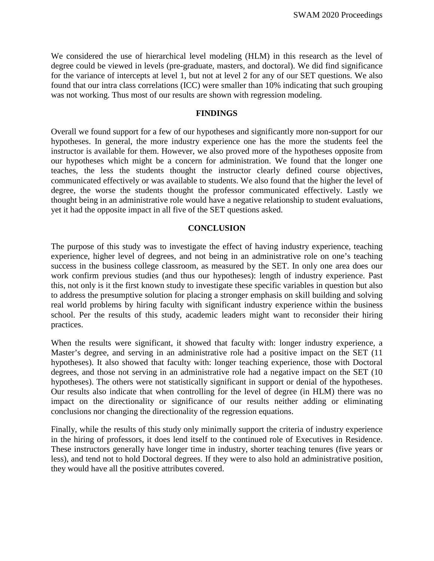We considered the use of hierarchical level modeling (HLM) in this research as the level of degree could be viewed in levels (pre-graduate, masters, and doctoral). We did find significance for the variance of intercepts at level 1, but not at level 2 for any of our SET questions. We also found that our intra class correlations (ICC) were smaller than 10% indicating that such grouping was not working. Thus most of our results are shown with regression modeling.

### **FINDINGS**

Overall we found support for a few of our hypotheses and significantly more non-support for our hypotheses. In general, the more industry experience one has the more the students feel the instructor is available for them. However, we also proved more of the hypotheses opposite from our hypotheses which might be a concern for administration. We found that the longer one teaches, the less the students thought the instructor clearly defined course objectives, communicated effectively or was available to students. We also found that the higher the level of degree, the worse the students thought the professor communicated effectively. Lastly we thought being in an administrative role would have a negative relationship to student evaluations, yet it had the opposite impact in all five of the SET questions asked.

### **CONCLUSION**

The purpose of this study was to investigate the effect of having industry experience, teaching experience, higher level of degrees, and not being in an administrative role on one's teaching success in the business college classroom, as measured by the SET. In only one area does our work confirm previous studies (and thus our hypotheses): length of industry experience. Past this, not only is it the first known study to investigate these specific variables in question but also to address the presumptive solution for placing a stronger emphasis on skill building and solving real world problems by hiring faculty with significant industry experience within the business school. Per the results of this study, academic leaders might want to reconsider their hiring practices.

When the results were significant, it showed that faculty with: longer industry experience, a Master's degree, and serving in an administrative role had a positive impact on the SET (11 hypotheses). It also showed that faculty with: longer teaching experience, those with Doctoral degrees, and those not serving in an administrative role had a negative impact on the SET (10 hypotheses). The others were not statistically significant in support or denial of the hypotheses. Our results also indicate that when controlling for the level of degree (in HLM) there was no impact on the directionality or significance of our results neither adding or eliminating conclusions nor changing the directionality of the regression equations.

Finally, while the results of this study only minimally support the criteria of industry experience in the hiring of professors, it does lend itself to the continued role of Executives in Residence. These instructors generally have longer time in industry, shorter teaching tenures (five years or less), and tend not to hold Doctoral degrees. If they were to also hold an administrative position, they would have all the positive attributes covered.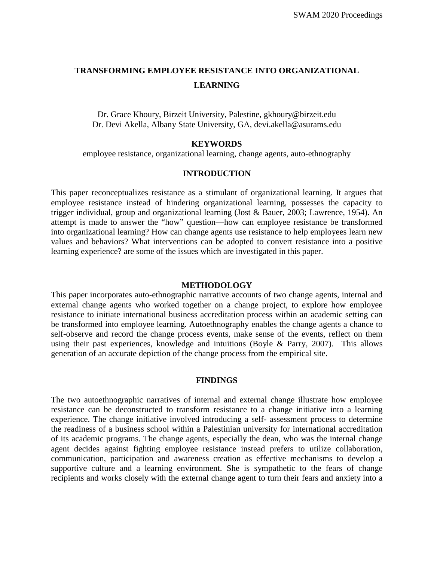# **TRANSFORMING EMPLOYEE RESISTANCE INTO ORGANIZATIONAL LEARNING**

Dr. Grace Khoury, Birzeit University, Palestine, [gkhoury@birzeit.edu](mailto:gkhoury@birzeit.edu) Dr. Devi Akella, Albany State University, GA, [devi.akella@asurams.edu](mailto:devi.akella@asurams.edu)

#### **KEYWORDS**

employee resistance, organizational learning, change agents, auto-ethnography

# **INTRODUCTION**

This paper reconceptualizes resistance as a stimulant of organizational learning. It argues that employee resistance instead of hindering organizational learning, possesses the capacity to trigger individual, group and organizational learning (Jost & Bauer, 2003; Lawrence, 1954). An attempt is made to answer the "how" question—how can employee resistance be transformed into organizational learning? How can change agents use resistance to help employees learn new values and behaviors? What interventions can be adopted to convert resistance into a positive learning experience? are some of the issues which are investigated in this paper.

#### **METHODOLOGY**

This paper incorporates auto-ethnographic narrative accounts of two change agents, internal and external change agents who worked together on a change project, to explore how employee resistance to initiate international business accreditation process within an academic setting can be transformed into employee learning. Autoethnography enables the change agents a chance to self-observe and record the change process events, make sense of the events, reflect on them using their past experiences, knowledge and intuitions (Boyle  $\&$  Parry, 2007). This allows generation of an accurate depiction of the change process from the empirical site.

#### **FINDINGS**

The two autoethnographic narratives of internal and external change illustrate how employee resistance can be deconstructed to transform resistance to a change initiative into a learning experience. The change initiative involved introducing a self- assessment process to determine the readiness of a business school within a Palestinian university for international accreditation of its academic programs. The change agents, especially the dean, who was the internal change agent decides against fighting employee resistance instead prefers to utilize collaboration, communication, participation and awareness creation as effective mechanisms to develop a supportive culture and a learning environment. She is sympathetic to the fears of change recipients and works closely with the external change agent to turn their fears and anxiety into a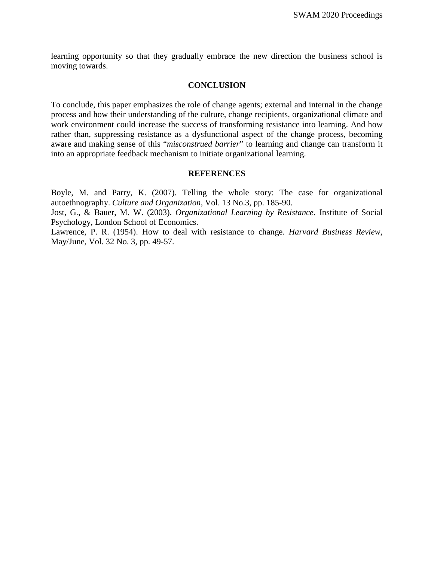learning opportunity so that they gradually embrace the new direction the business school is moving towards.

#### **CONCLUSION**

To conclude, this paper emphasizes the role of change agents; external and internal in the change process and how their understanding of the culture, change recipients, organizational climate and work environment could increase the success of transforming resistance into learning. And how rather than, suppressing resistance as a dysfunctional aspect of the change process, becoming aware and making sense of this "*misconstrued barrier*" to learning and change can transform it into an appropriate feedback mechanism to initiate organizational learning.

#### **REFERENCES**

Boyle, M. and Parry, K. (2007). Telling the whole story: The case for organizational autoethnography. *Culture and Organization*, Vol. 13 No.3, pp. 185-90.

Jost, G., & Bauer, M. W. (2003). *Organizational Learning by Resistance*. Institute of Social Psychology, London School of Economics.

Lawrence, P. R. (1954). How to deal with resistance to change. *Harvard Business Review*, May/June, Vol. 32 No. 3, pp. 49-57.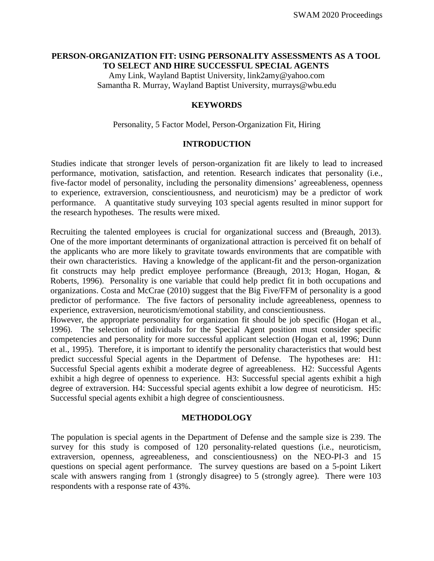#### **PERSON-ORGANIZATION FIT: USING PERSONALITY ASSESSMENTS AS A TOOL TO SELECT AND HIRE SUCCESSFUL SPECIAL AGENTS**

Amy Link, Wayland Baptist University, link2amy@yahoo.com Samantha R. Murray, Wayland Baptist University, murrays@wbu.edu

# **KEYWORDS**

#### Personality, 5 Factor Model, Person-Organization Fit, Hiring

#### **INTRODUCTION**

Studies indicate that stronger levels of person-organization fit are likely to lead to increased performance, motivation, satisfaction, and retention. Research indicates that personality (i.e., five-factor model of personality, including the personality dimensions' agreeableness, openness to experience, extraversion, conscientiousness, and neuroticism) may be a predictor of work performance. A quantitative study surveying 103 special agents resulted in minor support for the research hypotheses. The results were mixed.

Recruiting the talented employees is crucial for organizational success and (Breaugh, 2013). One of the more important determinants of organizational attraction is perceived fit on behalf of the applicants who are more likely to gravitate towards environments that are compatible with their own characteristics. Having a knowledge of the applicant-fit and the person-organization fit constructs may help predict employee performance (Breaugh, 2013; Hogan, Hogan, & Roberts, 1996). Personality is one variable that could help predict fit in both occupations and organizations. Costa and McCrae (2010) suggest that the Big Five/FFM of personality is a good predictor of performance. The five factors of personality include agreeableness, openness to experience, extraversion, neuroticism/emotional stability, and conscientiousness.

However, the appropriate personality for organization fit should be job specific (Hogan et al., 1996). The selection of individuals for the Special Agent position must consider specific competencies and personality for more successful applicant selection (Hogan et al, 1996; Dunn et al., 1995). Therefore, it is important to identify the personality characteristics that would best predict successful Special agents in the Department of Defense. The hypotheses are: H1: Successful Special agents exhibit a moderate degree of agreeableness. H2: Successful Agents exhibit a high degree of openness to experience. H3: Successful special agents exhibit a high degree of extraversion. H4: Successful special agents exhibit a low degree of neuroticism. H5: Successful special agents exhibit a high degree of conscientiousness.

#### **METHODOLOGY**

The population is special agents in the Department of Defense and the sample size is 239. The survey for this study is composed of 120 personality-related questions (i.e., neuroticism, extraversion, openness, agreeableness, and conscientiousness) on the NEO-PI-3 and 15 questions on special agent performance. The survey questions are based on a 5-point Likert scale with answers ranging from 1 (strongly disagree) to 5 (strongly agree). There were 103 respondents with a response rate of 43%.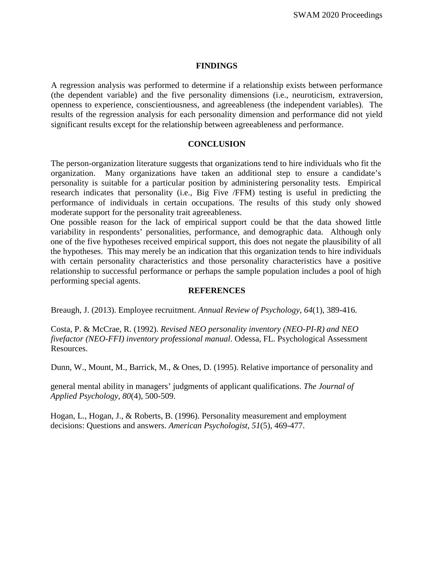#### **FINDINGS**

A regression analysis was performed to determine if a relationship exists between performance (the dependent variable) and the five personality dimensions (i.e., neuroticism, extraversion, openness to experience, conscientiousness, and agreeableness (the independent variables). The results of the regression analysis for each personality dimension and performance did not yield significant results except for the relationship between agreeableness and performance.

### **CONCLUSION**

The person-organization literature suggests that organizations tend to hire individuals who fit the organization. Many organizations have taken an additional step to ensure a candidate's personality is suitable for a particular position by administering personality tests. Empirical research indicates that personality (i.e., Big Five /FFM) testing is useful in predicting the performance of individuals in certain occupations. The results of this study only showed moderate support for the personality trait agreeableness.

One possible reason for the lack of empirical support could be that the data showed little variability in respondents' personalities, performance, and demographic data. Although only one of the five hypotheses received empirical support, this does not negate the plausibility of all the hypotheses. This may merely be an indication that this organization tends to hire individuals with certain personality characteristics and those personality characteristics have a positive relationship to successful performance or perhaps the sample population includes a pool of high performing special agents.

#### **REFERENCES**

Breaugh, J. (2013). Employee recruitment. *Annual Review of Psychology, 64*(1), 389-416.

Costa, P. & McCrae, R. (1992). *Revised NEO personality inventory (NEO-PI-R) and NEO fivefactor (NEO-FFI) inventory professional manual*. Odessa, FL. Psychological Assessment Resources.

Dunn, W., Mount, M., Barrick, M., & Ones, D. (1995). Relative importance of personality and

general mental ability in managers' judgments of applicant qualifications. *The Journal of Applied Psychology, 80*(4), 500-509.

Hogan, L., Hogan, J., & Roberts, B. (1996). Personality measurement and employment decisions: Questions and answers. *American Psychologist, 51*(5), 469-477.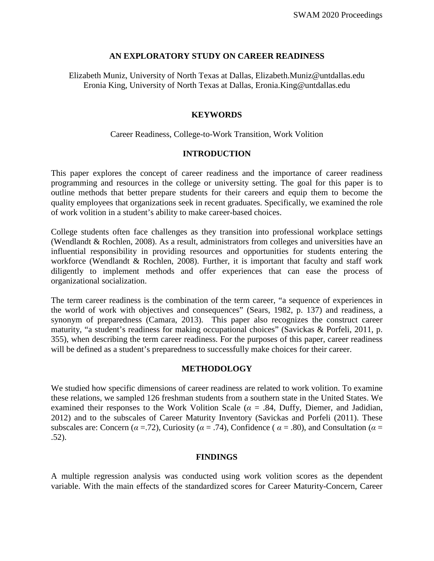#### **AN EXPLORATORY STUDY ON CAREER READINESS**

Elizabeth Muniz, University of North Texas at Dallas, Elizabeth.Muniz@untdallas.edu Eronia King, University of North Texas at Dallas, Eronia.King@untdallas.edu

### **KEYWORDS**

### Career Readiness, College-to-Work Transition, Work Volition

### **INTRODUCTION**

This paper explores the concept of career readiness and the importance of career readiness programming and resources in the college or university setting. The goal for this paper is to outline methods that better prepare students for their careers and equip them to become the quality employees that organizations seek in recent graduates. Specifically, we examined the role of work volition in a student's ability to make career-based choices.

College students often face challenges as they transition into professional workplace settings (Wendlandt & Rochlen, 2008). As a result, administrators from colleges and universities have an influential responsibility in providing resources and opportunities for students entering the workforce (Wendlandt & Rochlen, 2008). Further, it is important that faculty and staff work diligently to implement methods and offer experiences that can ease the process of organizational socialization.

The term career readiness is the combination of the term career, "a sequence of experiences in the world of work with objectives and consequences" (Sears, 1982, p. 137) and readiness, a synonym of preparedness (Camara, 2013). This paper also recognizes the construct career maturity, "a student's readiness for making occupational choices" (Savickas & Porfeli, 2011, p. 355), when describing the term career readiness. For the purposes of this paper, career readiness will be defined as a student's preparedness to successfully make choices for their career.

#### **METHODOLOGY**

We studied how specific dimensions of career readiness are related to work volition. To examine these relations, we sampled 126 freshman students from a southern state in the United States. We examined their responses to the Work Volition Scale ( $\alpha$  = .84, Duffy, Diemer, and Jadidian, 2012) and to the subscales of Career Maturity Inventory (Savickas and Porfeli (2011). These subscales are: Concern ( $\alpha$  =.72), Curiosity ( $\alpha$  = .74), Confidence ( $\alpha$  = .80), and Consultation ( $\alpha$  = .52).

#### **FINDINGS**

A multiple regression analysis was conducted using work volition scores as the dependent variable. With the main effects of the standardized scores for Career Maturity-Concern, Career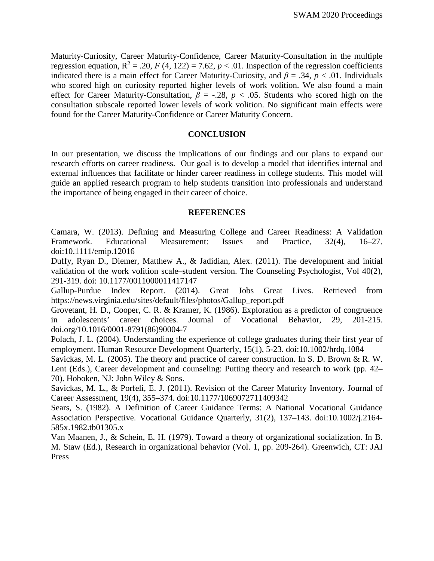Maturity-Curiosity, Career Maturity-Confidence, Career Maturity-Consultation in the multiple regression equation,  $R^2 = .20$ ,  $F(4, 122) = 7.62$ ,  $p < .01$ . Inspection of the regression coefficients indicated there is a main effect for Career Maturity-Curiosity, and *β* = .34, *p* < .01. Individuals who scored high on curiosity reported higher levels of work volition. We also found a main effect for Career Maturity-Consultation,  $\beta$  = -.28,  $p$  < .05. Students who scored high on the consultation subscale reported lower levels of work volition. No significant main effects were found for the Career Maturity-Confidence or Career Maturity Concern.

### **CONCLUSION**

In our presentation, we discuss the implications of our findings and our plans to expand our research efforts on career readiness. Our goal is to develop a model that identifies internal and external influences that facilitate or hinder career readiness in college students. This model will guide an applied research program to help students transition into professionals and understand the importance of being engaged in their career of choice.

### **REFERENCES**

Camara, W. (2013). Defining and Measuring College and Career Readiness: A Validation Framework. Educational Measurement: Issues and Practice, 32(4), 16–27. doi:10.1111/emip.12016

Duffy, Ryan D., Diemer, Matthew A., & Jadidian, Alex. (2011). The development and initial validation of the work volition scale–student version. The Counseling Psychologist, Vol 40(2), 291-319. doi: 10.1177/0011000011417147

Gallup-Purdue Index Report. (2014). Great Jobs Great Lives. Retrieved from https://news.virginia.edu/sites/default/files/photos/Gallup\_report.pdf

Grovetant, H. D., Cooper, C. R. & Kramer, K. (1986). Exploration as a predictor of congruence in adolescents' career choices. Journal of Vocational Behavior, 29, 201-215. doi.org/10.1016/0001-8791(86)90004-7

Polach, J. L. (2004). Understanding the experience of college graduates during their first year of employment. Human Resource Development Quarterly, 15(1), 5-23. doi:10.1002/hrdq.1084

Savickas, M. L. (2005). The theory and practice of career construction. In S. D. Brown & R. W. Lent (Eds.), Career development and counseling: Putting theory and research to work (pp. 42– 70). Hoboken, NJ: John Wiley & Sons.

Savickas, M. L., & Porfeli, E. J. (2011). Revision of the Career Maturity Inventory. Journal of Career Assessment, 19(4), 355–374. doi:10.1177/1069072711409342

Sears, S. (1982). A Definition of Career Guidance Terms: A National Vocational Guidance Association Perspective. Vocational Guidance Quarterly, 31(2), 137–143. doi:10.1002/j.2164- 585x.1982.tb01305.x

Van Maanen, J., & Schein, E. H. (1979). Toward a theory of organizational socialization. In B. M. Staw (Ed.), Research in organizational behavior (Vol. 1, pp. 209-264). Greenwich, CT: JAI Press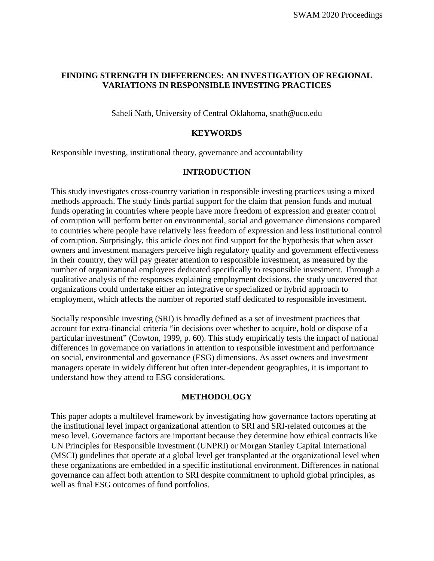# **FINDING STRENGTH IN DIFFERENCES: AN INVESTIGATION OF REGIONAL VARIATIONS IN RESPONSIBLE INVESTING PRACTICES**

Saheli Nath, University of Central Oklahoma, snath@uco.edu

### **KEYWORDS**

Responsible investing, institutional theory, governance and accountability

### **INTRODUCTION**

This study investigates cross-country variation in responsible investing practices using a mixed methods approach. The study finds partial support for the claim that pension funds and mutual funds operating in countries where people have more freedom of expression and greater control of corruption will perform better on environmental, social and governance dimensions compared to countries where people have relatively less freedom of expression and less institutional control of corruption. Surprisingly, this article does not find support for the hypothesis that when asset owners and investment managers perceive high regulatory quality and government effectiveness in their country, they will pay greater attention to responsible investment, as measured by the number of organizational employees dedicated specifically to responsible investment. Through a qualitative analysis of the responses explaining employment decisions, the study uncovered that organizations could undertake either an integrative or specialized or hybrid approach to employment, which affects the number of reported staff dedicated to responsible investment.

Socially responsible investing (SRI) is broadly defined as a set of investment practices that account for extra-financial criteria "in decisions over whether to acquire, hold or dispose of a particular investment" (Cowton, 1999, p. 60). This study empirically tests the impact of national differences in governance on variations in attention to responsible investment and performance on social, environmental and governance (ESG) dimensions. As asset owners and investment managers operate in widely different but often inter-dependent geographies, it is important to understand how they attend to ESG considerations.

#### **METHODOLOGY**

This paper adopts a multilevel framework by investigating how governance factors operating at the institutional level impact organizational attention to SRI and SRI-related outcomes at the meso level. Governance factors are important because they determine how ethical contracts like UN Principles for Responsible Investment (UNPRI) or Morgan Stanley Capital International (MSCI) guidelines that operate at a global level get transplanted at the organizational level when these organizations are embedded in a specific institutional environment. Differences in national governance can affect both attention to SRI despite commitment to uphold global principles, as well as final ESG outcomes of fund portfolios.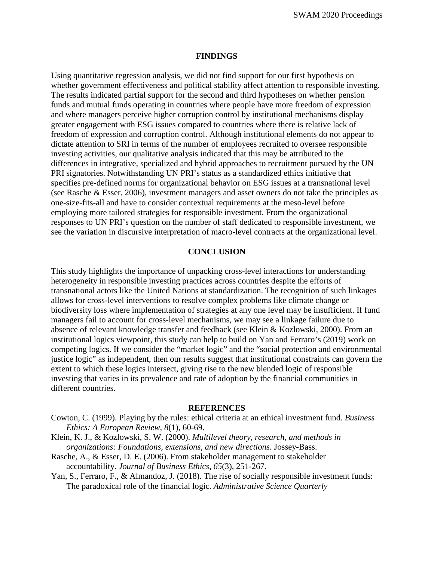SWAM 2020 Proceedings

#### **FINDINGS**

Using quantitative regression analysis, we did not find support for our first hypothesis on whether government effectiveness and political stability affect attention to responsible investing. The results indicated partial support for the second and third hypotheses on whether pension funds and mutual funds operating in countries where people have more freedom of expression and where managers perceive higher corruption control by institutional mechanisms display greater engagement with ESG issues compared to countries where there is relative lack of freedom of expression and corruption control. Although institutional elements do not appear to dictate attention to SRI in terms of the number of employees recruited to oversee responsible investing activities, our qualitative analysis indicated that this may be attributed to the differences in integrative, specialized and hybrid approaches to recruitment pursued by the UN PRI signatories. Notwithstanding UN PRI's status as a standardized ethics initiative that specifies pre-defined norms for organizational behavior on ESG issues at a transnational level (see Rasche & Esser, 2006), investment managers and asset owners do not take the principles as one-size-fits-all and have to consider contextual requirements at the meso-level before employing more tailored strategies for responsible investment. From the organizational responses to UN PRI's question on the number of staff dedicated to responsible investment, we see the variation in discursive interpretation of macro-level contracts at the organizational level.

#### **CONCLUSION**

This study highlights the importance of unpacking cross-level interactions for understanding heterogeneity in responsible investing practices across countries despite the efforts of transnational actors like the United Nations at standardization. The recognition of such linkages allows for cross-level interventions to resolve complex problems like climate change or biodiversity loss where implementation of strategies at any one level may be insufficient. If fund managers fail to account for cross-level mechanisms, we may see a linkage failure due to absence of relevant knowledge transfer and feedback (see Klein & Kozlowski, 2000). From an institutional logics viewpoint, this study can help to build on Yan and Ferraro's (2019) work on competing logics. If we consider the "market logic" and the "social protection and environmental justice logic" as independent, then our results suggest that institutional constraints can govern the extent to which these logics intersect, giving rise to the new blended logic of responsible investing that varies in its prevalence and rate of adoption by the financial communities in different countries.

#### **REFERENCES**

- Cowton, C. (1999). Playing by the rules: ethical criteria at an ethical investment fund. *Business Ethics: A European Review*, *8*(1), 60-69.
- Klein, K. J., & Kozlowski, S. W. (2000). *Multilevel theory, research, and methods in organizations: Foundations, extensions, and new directions*. Jossey-Bass.
- Rasche, A., & Esser, D. E. (2006). From stakeholder management to stakeholder accountability. *Journal of Business Ethics*, *65*(3), 251-267.
- Yan, S., Ferraro, F., & Almandoz, J. (2018). The rise of socially responsible investment funds: The paradoxical role of the financial logic. *Administrative Science Quarterly*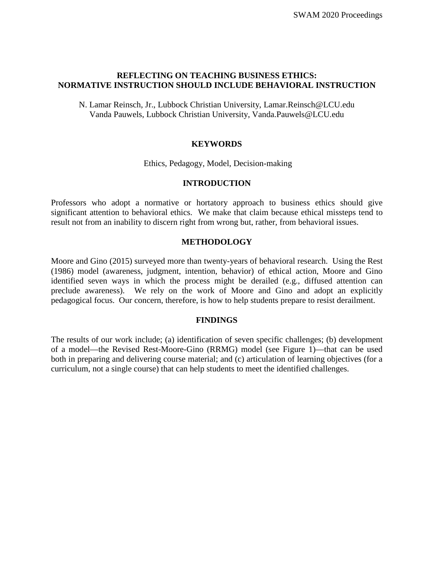# **REFLECTING ON TEACHING BUSINESS ETHICS: NORMATIVE INSTRUCTION SHOULD INCLUDE BEHAVIORAL INSTRUCTION**

N. Lamar Reinsch, Jr., Lubbock Christian University, Lamar.Reinsch@LCU.edu Vanda Pauwels, Lubbock Christian University, Vanda.Pauwels@LCU.edu

# **KEYWORDS**

Ethics, Pedagogy, Model, Decision-making

### **INTRODUCTION**

Professors who adopt a normative or hortatory approach to business ethics should give significant attention to behavioral ethics. We make that claim because ethical missteps tend to result not from an inability to discern right from wrong but, rather, from behavioral issues.

### **METHODOLOGY**

Moore and Gino (2015) surveyed more than twenty-years of behavioral research. Using the Rest (1986) model (awareness, judgment, intention, behavior) of ethical action, Moore and Gino identified seven ways in which the process might be derailed (e.g., diffused attention can preclude awareness). We rely on the work of Moore and Gino and adopt an explicitly pedagogical focus. Our concern, therefore, is how to help students prepare to resist derailment.

#### **FINDINGS**

The results of our work include; (a) identification of seven specific challenges; (b) development of a model—the Revised Rest-Moore-Gino (RRMG) model (see Figure 1)—that can be used both in preparing and delivering course material; and (c) articulation of learning objectives (for a curriculum, not a single course) that can help students to meet the identified challenges.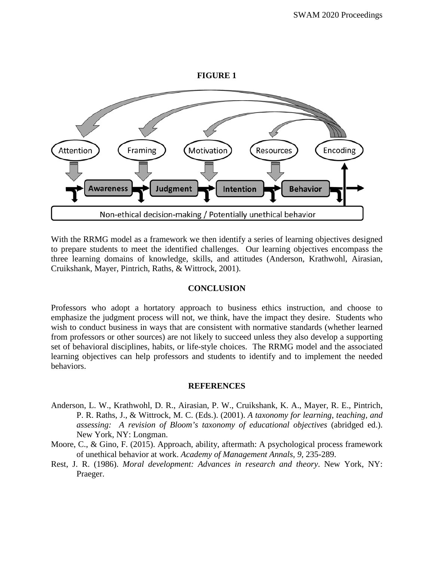#### **FIGURE 1**



With the RRMG model as a framework we then identify a series of learning objectives designed to prepare students to meet the identified challenges. Our learning objectives encompass the three learning domains of knowledge, skills, and attitudes (Anderson, Krathwohl, Airasian, Cruikshank, Mayer, Pintrich, Raths, & Wittrock, 2001).

#### **CONCLUSION**

Professors who adopt a hortatory approach to business ethics instruction, and choose to emphasize the judgment process will not, we think, have the impact they desire. Students who wish to conduct business in ways that are consistent with normative standards (whether learned from professors or other sources) are not likely to succeed unless they also develop a supporting set of behavioral disciplines, habits, or life-style choices. The RRMG model and the associated learning objectives can help professors and students to identify and to implement the needed behaviors.

#### **REFERENCES**

- Anderson, L. W., Krathwohl, D. R., Airasian, P. W., Cruikshank, K. A., Mayer, R. E., Pintrich, P. R. Raths, J., & Wittrock, M. C. (Eds.). (2001). *A taxonomy for learning, teaching, and assessing: A revision of Bloom's taxonomy of educational objectives* (abridged ed.). New York, NY: Longman.
- Moore, C., & Gino, F. (2015). Approach, ability, aftermath: A psychological process framework of unethical behavior at work. *Academy of Management Annals*, *9*, 235-289.
- Rest, J. R. (1986). *Moral development: Advances in research and theory*. New York, NY: Praeger.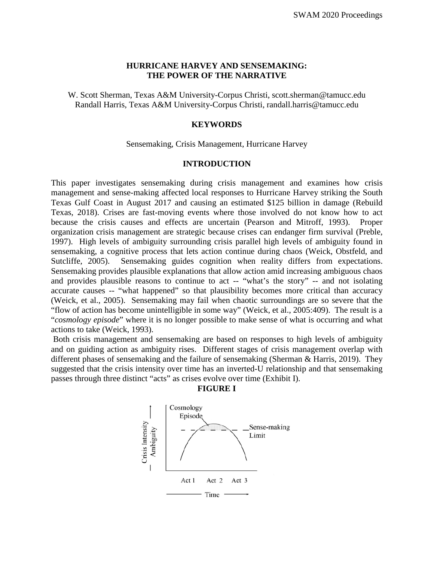# **HURRICANE HARVEY AND SENSEMAKING: THE POWER OF THE NARRATIVE**

W. Scott Sherman, Texas A&M University-Corpus Christi, [scott.sherman@tamucc.edu](mailto:scott.sherman@tamucc.edu) Randall Harris, Texas A&M University-Corpus Christi, [randall.harris@tamucc.edu](mailto:randall.harris@tamucc.edu)

#### **KEYWORDS**

#### Sensemaking, Crisis Management, Hurricane Harvey

### **INTRODUCTION**

This paper investigates sensemaking during crisis management and examines how crisis management and sense-making affected local responses to Hurricane Harvey striking the South Texas Gulf Coast in August 2017 and causing an estimated \$125 billion in damage (Rebuild Texas, 2018). Crises are fast-moving events where those involved do not know how to act because the crisis causes and effects are uncertain (Pearson and Mitroff, 1993). Proper organization crisis management are strategic because crises can endanger firm survival (Preble, 1997). High levels of ambiguity surrounding crisis parallel high levels of ambiguity found in sensemaking, a cognitive process that lets action continue during chaos (Weick, Obstfeld, and Sutcliffe, 2005). Sensemaking guides cognition when reality differs from expectations. Sensemaking provides plausible explanations that allow action amid increasing ambiguous chaos and provides plausible reasons to continue to act -- "what's the story" -- and not isolating accurate causes -- "what happened" so that plausibility becomes more critical than accuracy (Weick, et al., 2005). Sensemaking may fail when chaotic surroundings are so severe that the "flow of action has become unintelligible in some way" (Weick, et al., 2005:409). The result is a "*cosmology episode*" where it is no longer possible to make sense of what is occurring and what actions to take (Weick, 1993).

Both crisis management and sensemaking are based on responses to high levels of ambiguity and on guiding action as ambiguity rises. Different stages of crisis management overlap with different phases of sensemaking and the failure of sensemaking (Sherman & Harris, 2019). They suggested that the crisis intensity over time has an inverted-U relationship and that sensemaking passes through three distinct "acts" as crises evolve over time (Exhibit I).



**FIGURE I**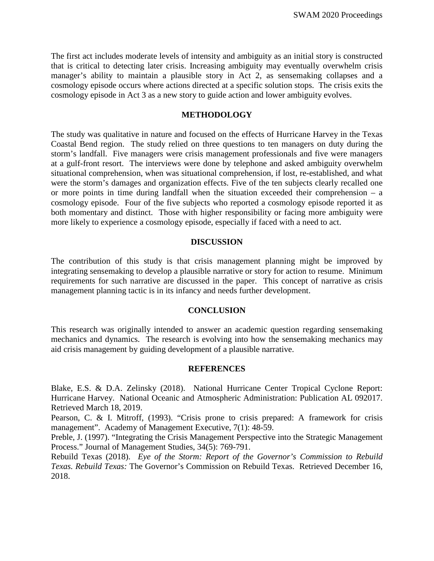The first act includes moderate levels of intensity and ambiguity as an initial story is constructed that is critical to detecting later crisis. Increasing ambiguity may eventually overwhelm crisis manager's ability to maintain a plausible story in Act 2, as sensemaking collapses and a cosmology episode occurs where actions directed at a specific solution stops. The crisis exits the cosmology episode in Act 3 as a new story to guide action and lower ambiguity evolves.

#### **METHODOLOGY**

The study was qualitative in nature and focused on the effects of Hurricane Harvey in the Texas Coastal Bend region. The study relied on three questions to ten managers on duty during the storm's landfall. Five managers were crisis management professionals and five were managers at a gulf-front resort. The interviews were done by telephone and asked ambiguity overwhelm situational comprehension, when was situational comprehension, if lost, re-established, and what were the storm's damages and organization effects. Five of the ten subjects clearly recalled one or more points in time during landfall when the situation exceeded their comprehension – a cosmology episode. Four of the five subjects who reported a cosmology episode reported it as both momentary and distinct. Those with higher responsibility or facing more ambiguity were more likely to experience a cosmology episode, especially if faced with a need to act.

### **DISCUSSION**

The contribution of this study is that crisis management planning might be improved by integrating sensemaking to develop a plausible narrative or story for action to resume. Minimum requirements for such narrative are discussed in the paper. This concept of narrative as crisis management planning tactic is in its infancy and needs further development.

#### **CONCLUSION**

This research was originally intended to answer an academic question regarding sensemaking mechanics and dynamics. The research is evolving into how the sensemaking mechanics may aid crisis management by guiding development of a plausible narrative.

#### **REFERENCES**

Blake, E.S. & D.A. Zelinsky (2018). National Hurricane Center Tropical Cyclone Report: Hurricane Harvey. National Oceanic and Atmospheric Administration: Publication AL 092017. Retrieved March 18, 2019.

Pearson, C. & I. Mitroff, (1993). "Crisis prone to crisis prepared: A framework for crisis management". Academy of Management Executive, 7(1): 48-59.

Preble, J. (1997). "Integrating the Crisis Management Perspective into the Strategic Management Process." Journal of Management Studies, 34(5): 769-791.

Rebuild Texas (2018). *Eye of the Storm: Report of the Governor's Commission to Rebuild Texas. Rebuild Texas:* The Governor's Commission on Rebuild Texas. Retrieved December 16, 2018.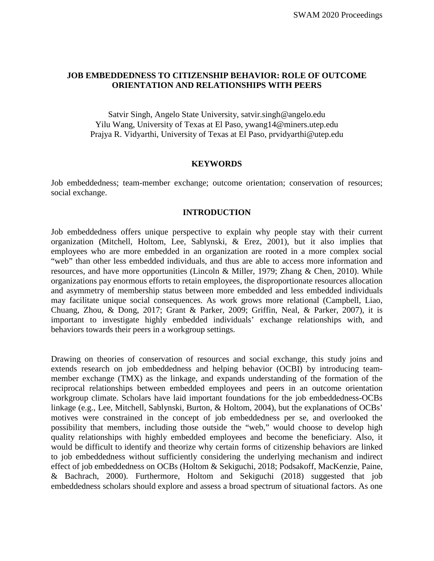# **JOB EMBEDDEDNESS TO CITIZENSHIP BEHAVIOR: ROLE OF OUTCOME ORIENTATION AND RELATIONSHIPS WITH PEERS**

Satvir Singh, Angelo State University, satvir.singh@angelo.edu Yilu Wang, University of Texas at El Paso, ywang14@miners.utep.edu Prajya R. Vidyarthi, University of Texas at El Paso, prvidyarthi@utep.edu

#### **KEYWORDS**

Job embeddedness; team-member exchange; outcome orientation; conservation of resources; social exchange.

#### **INTRODUCTION**

Job embeddedness offers unique perspective to explain why people stay with their current organization (Mitchell, Holtom, Lee, Sablynski, & Erez, 2001), but it also implies that employees who are more embedded in an organization are rooted in a more complex social "web" than other less embedded individuals, and thus are able to access more information and resources, and have more opportunities (Lincoln & Miller, 1979; Zhang & Chen, 2010). While organizations pay enormous efforts to retain employees, the disproportionate resources allocation and asymmetry of membership status between more embedded and less embedded individuals may facilitate unique social consequences. As work grows more relational (Campbell, Liao, Chuang, Zhou, & Dong, 2017; Grant & Parker, 2009; Griffin, Neal, & Parker, 2007), it is important to investigate highly embedded individuals' exchange relationships with, and behaviors towards their peers in a workgroup settings.

Drawing on theories of conservation of resources and social exchange, this study joins and extends research on job embeddedness and helping behavior (OCBI) by introducing teammember exchange (TMX) as the linkage, and expands understanding of the formation of the reciprocal relationships between embedded employees and peers in an outcome orientation workgroup climate. Scholars have laid important foundations for the job embeddedness-OCBs linkage (e.g., Lee, Mitchell, Sablynski, Burton, & Holtom, 2004), but the explanations of OCBs' motives were constrained in the concept of job embeddedness per se, and overlooked the possibility that members, including those outside the "web," would choose to develop high quality relationships with highly embedded employees and become the beneficiary. Also, it would be difficult to identify and theorize why certain forms of citizenship behaviors are linked to job embeddedness without sufficiently considering the underlying mechanism and indirect effect of job embeddedness on OCBs (Holtom & Sekiguchi, 2018; Podsakoff, MacKenzie, Paine, & Bachrach, 2000). Furthermore, Holtom and Sekiguchi (2018) suggested that job embeddedness scholars should explore and assess a broad spectrum of situational factors. As one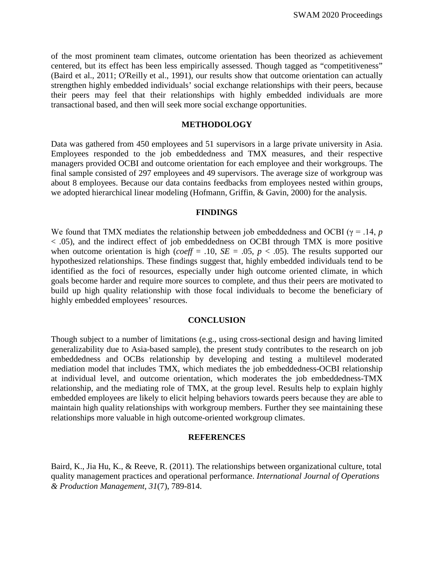of the most prominent team climates, outcome orientation has been theorized as achievement centered, but its effect has been less empirically assessed. Though tagged as "competitiveness" (Baird et al., 2011; O'Reilly et al., 1991), our results show that outcome orientation can actually strengthen highly embedded individuals' social exchange relationships with their peers, because their peers may feel that their relationships with highly embedded individuals are more transactional based, and then will seek more social exchange opportunities.

#### **METHODOLOGY**

Data was gathered from 450 employees and 51 supervisors in a large private university in Asia. Employees responded to the job embeddedness and TMX measures, and their respective managers provided OCBI and outcome orientation for each employee and their workgroups. The final sample consisted of 297 employees and 49 supervisors. The average size of workgroup was about 8 employees. Because our data contains feedbacks from employees nested within groups, we adopted hierarchical linear modeling (Hofmann, Griffin, & Gavin, 2000) for the analysis.

#### **FINDINGS**

We found that TMX mediates the relationship between job embeddedness and OCBI ( $\gamma$  = .14, *p* < .05), and the indirect effect of job embeddedness on OCBI through TMX is more positive when outcome orientation is high (*coeff* = .10,  $SE = .05$ ,  $p < .05$ ). The results supported our hypothesized relationships. These findings suggest that, highly embedded individuals tend to be identified as the foci of resources, especially under high outcome oriented climate, in which goals become harder and require more sources to complete, and thus their peers are motivated to build up high quality relationship with those focal individuals to become the beneficiary of highly embedded employees' resources.

#### **CONCLUSION**

Though subject to a number of limitations (e.g., using cross-sectional design and having limited generalizability due to Asia-based sample), the present study contributes to the research on job embeddedness and OCBs relationship by developing and testing a multilevel moderated mediation model that includes TMX, which mediates the job embeddedness-OCBI relationship at individual level, and outcome orientation, which moderates the job embeddedness-TMX relationship, and the mediating role of TMX, at the group level. Results help to explain highly embedded employees are likely to elicit helping behaviors towards peers because they are able to maintain high quality relationships with workgroup members. Further they see maintaining these relationships more valuable in high outcome-oriented workgroup climates.

#### **REFERENCES**

Baird, K., Jia Hu, K., & Reeve, R. (2011). The relationships between organizational culture, total quality management practices and operational performance. *International Journal of Operations & Production Management, 31*(7), 789-814.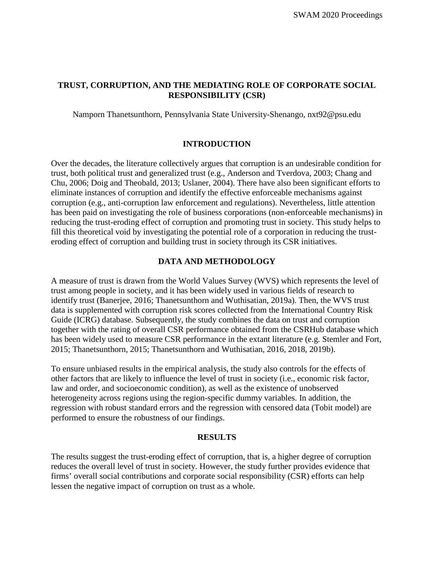# **TRUST, CORRUPTION, AND THE MEDIATING ROLE OF CORPORATE SOCIAL RESPONSIBILITY (CSR)**

Namporn Thanetsunthorn, Pennsylvania State University-Shenango, [nxt92@psu.edu](mailto:nxt92@psu.edu)

# **INTRODUCTION**

Over the decades, the literature collectively argues that corruption is an undesirable condition for trust, both political trust and generalized trust (e.g., Anderson and Tverdova, 2003; Chang and Chu, 2006; Doig and Theobald, 2013; Uslaner, 2004). There have also been significant efforts to eliminate instances of corruption and identify the effective enforceable mechanisms against corruption (e.g., anti-corruption law enforcement and regulations). Nevertheless, little attention has been paid on investigating the role of business corporations (non-enforceable mechanisms) in reducing the trust-eroding effect of corruption and promoting trust in society. This study helps to fill this theoretical void by investigating the potential role of a corporation in reducing the trusteroding effect of corruption and building trust in society through its CSR initiatives.

# **DATA AND METHODOLOGY**

A measure of trust is drawn from the World Values Survey (WVS) which represents the level of trust among people in society, and it has been widely used in various fields of research to identify trust (Banerjee, 2016; Thanetsunthorn and Wuthisatian, 2019a). Then, the WVS trust data is supplemented with corruption risk scores collected from the International Country Risk Guide (ICRG) database. Subsequently, the study combines the data on trust and corruption together with the rating of overall CSR performance obtained from the CSRHub database which has been widely used to measure CSR performance in the extant literature (e.g. Stemler and Fort, 2015; Thanetsunthorn, 2015; Thanetsunthorn and Wuthisatian, 2016, 2018, 2019b).

To ensure unbiased results in the empirical analysis, the study also controls for the effects of other factors that are likely to influence the level of trust in society (i.e., economic risk factor, law and order, and socioeconomic condition), as well as the existence of unobserved heterogeneity across regions using the region-specific dummy variables. In addition, the regression with robust standard errors and the regression with censored data (Tobit model) are performed to ensure the robustness of our findings.

# **RESULTS**

The results suggest the trust-eroding effect of corruption, that is, a higher degree of corruption reduces the overall level of trust in society. However, the study further provides evidence that firms' overall social contributions and corporate social responsibility (CSR) efforts can help lessen the negative impact of corruption on trust as a whole.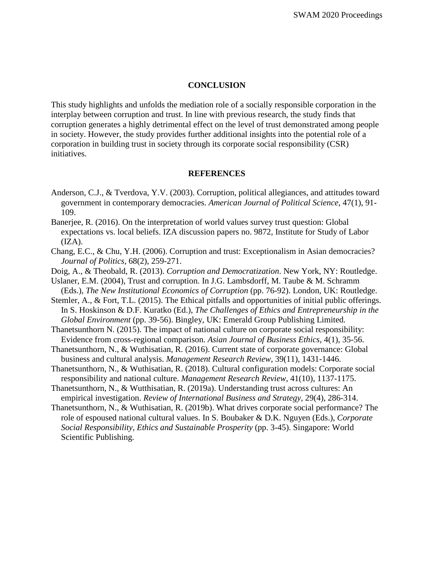### **CONCLUSION**

This study highlights and unfolds the mediation role of a socially responsible corporation in the interplay between corruption and trust. In line with previous research, the study finds that corruption generates a highly detrimental effect on the level of trust demonstrated among people in society. However, the study provides further additional insights into the potential role of a corporation in building trust in society through its corporate social responsibility (CSR) initiatives.

#### **REFERENCES**

- Anderson, C.J., & Tverdova, Y.V. (2003). Corruption, political allegiances, and attitudes toward government in contemporary democracies. *American Journal of Political Science*, 47(1), 91- 109.
- Banerjee, R. (2016). On the interpretation of world values survey trust question: Global expectations vs. local beliefs. IZA discussion papers no. 9872, Institute for Study of Labor  $(IZA).$
- Chang, E.C., & Chu, Y.H. (2006). Corruption and trust: Exceptionalism in Asian democracies? *Journal of Politics*, 68(2), 259-271.
- Doig, A., & Theobald, R. (2013). *Corruption and Democratization*. New York, NY: Routledge.
- Uslaner, E.M. (2004), Trust and corruption. In J.G. Lambsdorff, M. Taube & M. Schramm (Eds.), *The New Institutional Economics of Corruption* (pp. 76-92). London, UK: Routledge.
- Stemler, A., & Fort, T.L. (2015). The Ethical pitfalls and opportunities of initial public offerings. In S. Hoskinson & D.F. Kuratko (Ed.), *The Challenges of Ethics and Entrepreneurship in the Global Environment* (pp. 39-56). Bingley, UK: Emerald Group Publishing Limited.
- Thanetsunthorn N. (2015). The impact of national culture on corporate social responsibility: Evidence from cross-regional comparison. *Asian Journal of Business Ethics*, 4(1), 35-56.
- Thanetsunthorn, N., & Wuthisatian, R. (2016). Current state of corporate governance: Global business and cultural analysis. *Management Research Review*, 39(11), 1431-1446.
- Thanetsunthorn, N., & Wuthisatian, R. (2018). Cultural configuration models: Corporate social responsibility and national culture. *Management Research Review*, 41(10), 1137-1175.
- Thanetsunthorn, N., & Wutthisatian, R. (2019a). Understanding trust across cultures: An empirical investigation. *Review of International Business and Strategy*, 29(4), 286-314.
- Thanetsunthorn, N., & Wuthisatian, R. (2019b). What drives corporate social performance? The role of espoused national cultural values. In S. Boubaker & D.K. Nguyen (Eds.), *Corporate Social Responsibility, Ethics and Sustainable Prosperity* (pp. 3-45). Singapore: World Scientific Publishing.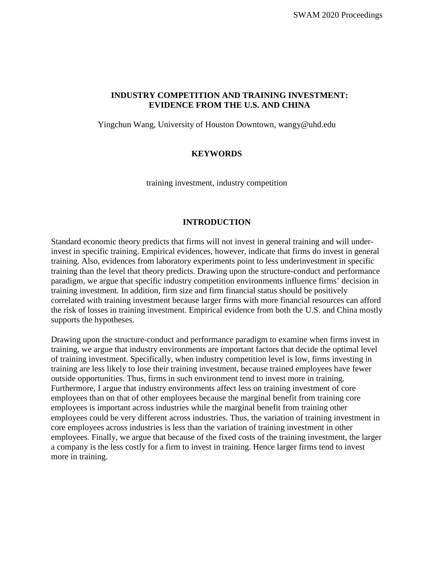# **INDUSTRY COMPETITION AND TRAINING INVESTMENT: EVIDENCE FROM THE U.S. AND CHINA**

Yingchun Wang, University of Houston Downtown, [wangy@uhd.edu](mailto:wangy@uhd.edu)

# **KEYWORDS**

training investment, industry competition

### **INTRODUCTION**

Standard economic theory predicts that firms will not invest in general training and will underinvest in specific training. Empirical evidences, however, indicate that firms do invest in general training. Also, evidences from laboratory experiments point to less underinvestment in specific training than the level that theory predicts. Drawing upon the structure-conduct and performance paradigm, we argue that specific industry competition environments influence firms' decision in training investment. In addition, firm size and firm financial status should be positively correlated with training investment because larger firms with more financial resources can afford the risk of losses in training investment. Empirical evidence from both the U.S. and China mostly supports the hypotheses.

Drawing upon the structure-conduct and performance paradigm to examine when firms invest in training, we argue that industry environments are important factors that decide the optimal level of training investment. Specifically, when industry competition level is low, firms investing in training are less likely to lose their training investment, because trained employees have fewer outside opportunities. Thus, firms in such environment tend to invest more in training. Furthermore, I argue that industry environments affect less on training investment of core employees than on that of other employees because the marginal benefit from training core employees is important across industries while the marginal benefit from training other employees could be very different across industries. Thus, the variation of training investment in core employees across industries is less than the variation of training investment in other employees. Finally, we argue that because of the fixed costs of the training investment, the larger a company is the less costly for a firm to invest in training. Hence larger firms tend to invest more in training.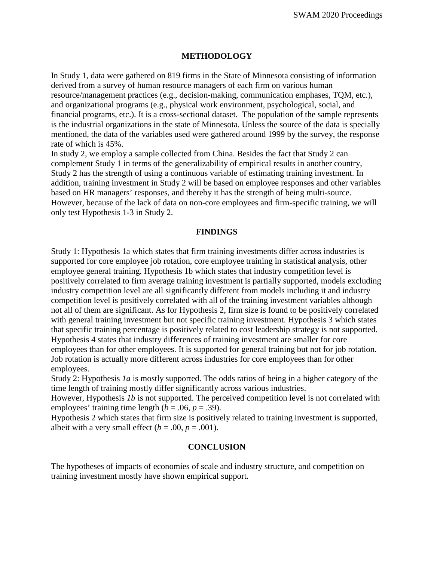### **METHODOLOGY**

In Study 1, data were gathered on 819 firms in the State of Minnesota consisting of information derived from a survey of human resource managers of each firm on various human resource/management practices (e.g., decision-making, communication emphases, TQM, etc.), and organizational programs (e.g., physical work environment, psychological, social, and financial programs, etc.). It is a cross-sectional dataset. The population of the sample represents is the industrial organizations in the state of Minnesota. Unless the source of the data is specially mentioned, the data of the variables used were gathered around 1999 by the survey, the response rate of which is 45%.

In study 2, we employ a sample collected from China. Besides the fact that Study 2 can complement Study 1 in terms of the generalizability of empirical results in another country, Study 2 has the strength of using a continuous variable of estimating training investment. In addition, training investment in Study 2 will be based on employee responses and other variables based on HR managers' responses, and thereby it has the strength of being multi-source. However, because of the lack of data on non-core employees and firm-specific training, we will only test Hypothesis 1-3 in Study 2.

#### **FINDINGS**

Study 1: Hypothesis 1a which states that firm training investments differ across industries is supported for core employee job rotation, core employee training in statistical analysis, other employee general training. Hypothesis 1b which states that industry competition level is positively correlated to firm average training investment is partially supported, models excluding industry competition level are all significantly different from models including it and industry competition level is positively correlated with all of the training investment variables although not all of them are significant. As for Hypothesis 2, firm size is found to be positively correlated with general training investment but not specific training investment. Hypothesis 3 which states that specific training percentage is positively related to cost leadership strategy is not supported. Hypothesis 4 states that industry differences of training investment are smaller for core employees than for other employees. It is supported for general training but not for job rotation. Job rotation is actually more different across industries for core employees than for other employees.

Study 2: Hypothesis *1a* is mostly supported. The odds ratios of being in a higher category of the time length of training mostly differ significantly across various industries.

However, Hypothesis *1b* is not supported. The perceived competition level is not correlated with employees' training time length ( $b = .06$ ,  $p = .39$ ).

Hypothesis 2 which states that firm size is positively related to training investment is supported, albeit with a very small effect  $(b = .00, p = .001)$ .

#### **CONCLUSION**

The hypotheses of impacts of economies of scale and industry structure, and competition on training investment mostly have shown empirical support.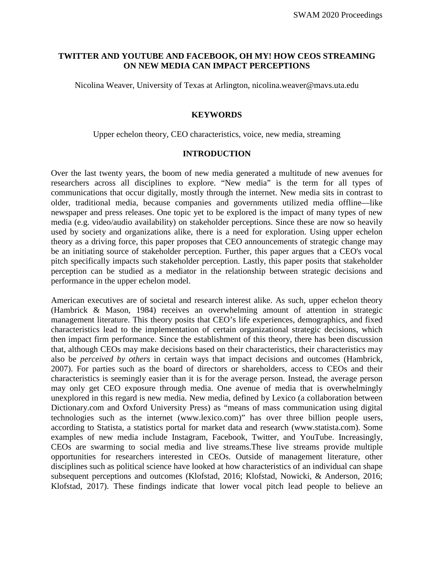### **TWITTER AND YOUTUBE AND FACEBOOK, OH MY! HOW CEOS STREAMING ON NEW MEDIA CAN IMPACT PERCEPTIONS**

Nicolina Weaver, University of Texas at Arlington, nicolina.weaver@mavs.uta.edu

#### **KEYWORDS**

Upper echelon theory, CEO characteristics, voice, new media, streaming

#### **INTRODUCTION**

Over the last twenty years, the boom of new media generated a multitude of new avenues for researchers across all disciplines to explore. "New media" is the term for all types of communications that occur digitally, mostly through the internet. New media sits in contrast to older, traditional media, because companies and governments utilized media offline—like newspaper and press releases. One topic yet to be explored is the impact of many types of new media (e.g. video/audio availability) on stakeholder perceptions. Since these are now so heavily used by society and organizations alike, there is a need for exploration. Using upper echelon theory as a driving force, this paper proposes that CEO announcements of strategic change may be an initiating source of stakeholder perception. Further, this paper argues that a CEO's vocal pitch specifically impacts such stakeholder perception. Lastly, this paper posits that stakeholder perception can be studied as a mediator in the relationship between strategic decisions and performance in the upper echelon model.

American executives are of societal and research interest alike. As such, upper echelon theory (Hambrick & Mason, 1984) receives an overwhelming amount of attention in strategic management literature. This theory posits that CEO's life experiences, demographics, and fixed characteristics lead to the implementation of certain organizational strategic decisions, which then impact firm performance. Since the establishment of this theory, there has been discussion that, although CEOs may make decisions based on their characteristics, their characteristics may also be *perceived by others* in certain ways that impact decisions and outcomes (Hambrick, 2007). For parties such as the board of directors or shareholders, access to CEOs and their characteristics is seemingly easier than it is for the average person. Instead, the average person may only get CEO exposure through media. One avenue of media that is overwhelmingly unexplored in this regard is new media. New media, defined by Lexico (a collaboration between Dictionary.com and Oxford University Press) as "means of mass communication using digital technologies such as the internet (www.lexico.com)" has over three billion people users, according to Statista, a statistics portal for market data and research (www.statista.com). Some examples of new media include Instagram, Facebook, Twitter, and YouTube. Increasingly, CEOs are swarming to social media and live streams.These live streams provide multiple opportunities for researchers interested in CEOs. Outside of management literature, other disciplines such as political science have looked at how characteristics of an individual can shape subsequent perceptions and outcomes (Klofstad, 2016; Klofstad, Nowicki, & Anderson, 2016; Klofstad, 2017). These findings indicate that lower vocal pitch lead people to believe an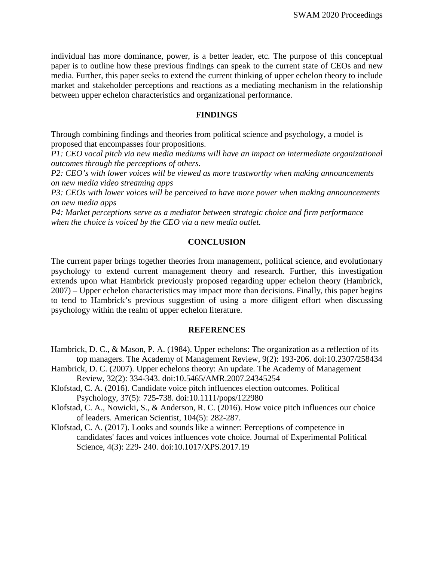individual has more dominance, power, is a better leader, etc. The purpose of this conceptual paper is to outline how these previous findings can speak to the current state of CEOs and new media. Further, this paper seeks to extend the current thinking of upper echelon theory to include market and stakeholder perceptions and reactions as a mediating mechanism in the relationship between upper echelon characteristics and organizational performance.

#### **FINDINGS**

Through combining findings and theories from political science and psychology, a model is proposed that encompasses four propositions.

*P1: CEO vocal pitch via new media mediums will have an impact on intermediate organizational outcomes through the perceptions of others.*

*P2: CEO's with lower voices will be viewed as more trustworthy when making announcements on new media video streaming apps*

*P3: CEOs with lower voices will be perceived to have more power when making announcements on new media apps*

*P4: Market perceptions serve as a mediator between strategic choice and firm performance when the choice is voiced by the CEO via a new media outlet.*

#### **CONCLUSION**

The current paper brings together theories from management, political science, and evolutionary psychology to extend current management theory and research. Further, this investigation extends upon what Hambrick previously proposed regarding upper echelon theory (Hambrick, 2007) – Upper echelon characteristics may impact more than decisions. Finally, this paper begins to tend to Hambrick's previous suggestion of using a more diligent effort when discussing psychology within the realm of upper echelon literature.

# **REFERENCES**

- Hambrick, D. C., & Mason, P. A. (1984). Upper echelons: The organization as a reflection of its top managers. The Academy of Management Review, 9(2): 193-206. doi:10.2307/258434
- Hambrick, D. C. (2007). Upper echelons theory: An update. The Academy of Management Review, 32(2): 334-343. doi:10.5465/AMR.2007.24345254
- Klofstad, C. A. (2016). Candidate voice pitch influences election outcomes. Political Psychology, 37(5): 725-738. doi:10.1111/pops/122980
- Klofstad, C. A., Nowicki, S., & Anderson, R. C. (2016). How voice pitch influences our choice of leaders. American Scientist, 104(5): 282-287.
- Klofstad, C. A. (2017). Looks and sounds like a winner: Perceptions of competence in candidates' faces and voices influences vote choice. Journal of Experimental Political Science, 4(3): 229- 240. doi:10.1017/XPS.2017.19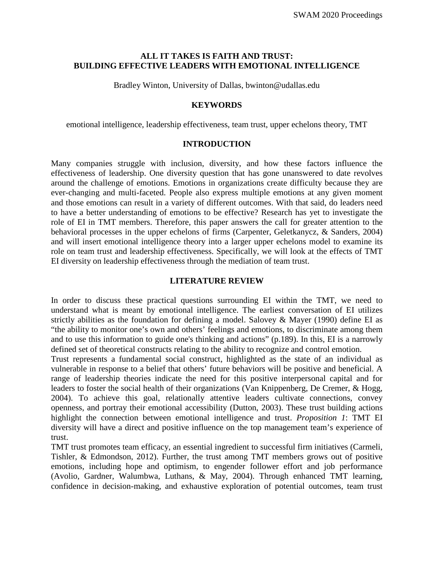### **ALL IT TAKES IS FAITH AND TRUST: BUILDING EFFECTIVE LEADERS WITH EMOTIONAL INTELLIGENCE**

Bradley Winton, University of Dallas, bwinton@udallas.edu

### **KEYWORDS**

emotional intelligence, leadership effectiveness, team trust, upper echelons theory, TMT

#### **INTRODUCTION**

Many companies struggle with inclusion, diversity, and how these factors influence the effectiveness of leadership. One diversity question that has gone unanswered to date revolves around the challenge of emotions. Emotions in organizations create difficulty because they are ever-changing and multi-faceted. People also express multiple emotions at any given moment and those emotions can result in a variety of different outcomes. With that said, do leaders need to have a better understanding of emotions to be effective? Research has yet to investigate the role of EI in TMT members. Therefore, this paper answers the call for greater attention to the behavioral processes in the upper echelons of firms (Carpenter, Geletkanycz, & Sanders, 2004) and will insert emotional intelligence theory into a larger upper echelons model to examine its role on team trust and leadership effectiveness. Specifically, we will look at the effects of TMT EI diversity on leadership effectiveness through the mediation of team trust.

### **LITERATURE REVIEW**

In order to discuss these practical questions surrounding EI within the TMT, we need to understand what is meant by emotional intelligence. The earliest conversation of EI utilizes strictly abilities as the foundation for defining a model. Salovey & Mayer (1990) define EI as "the ability to monitor one's own and others' feelings and emotions, to discriminate among them and to use this information to guide one's thinking and actions" (p.189). In this, EI is a narrowly defined set of theoretical constructs relating to the ability to recognize and control emotion.

Trust represents a fundamental social construct, highlighted as the state of an individual as vulnerable in response to a belief that others' future behaviors will be positive and beneficial. A range of leadership theories indicate the need for this positive interpersonal capital and for leaders to foster the social health of their organizations (Van Knippenberg, De Cremer, & Hogg, 2004). To achieve this goal, relationally attentive leaders cultivate connections, convey openness, and portray their emotional accessibility (Dutton, 2003). These trust building actions highlight the connection between emotional intelligence and trust. *Proposition 1*: TMT EI diversity will have a direct and positive influence on the top management team's experience of trust.

TMT trust promotes team efficacy, an essential ingredient to successful firm initiatives (Carmeli, Tishler, & Edmondson, 2012). Further, the trust among TMT members grows out of positive emotions, including hope and optimism, to engender follower effort and job performance (Avolio, Gardner, Walumbwa, Luthans, & May, 2004). Through enhanced TMT learning, confidence in decision-making, and exhaustive exploration of potential outcomes, team trust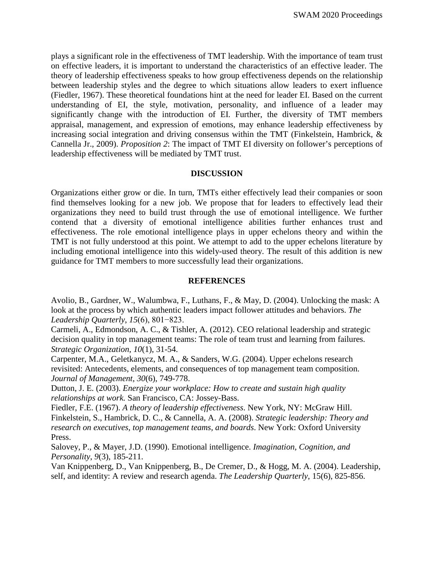plays a significant role in the effectiveness of TMT leadership. With the importance of team trust on effective leaders, it is important to understand the characteristics of an effective leader. The theory of leadership effectiveness speaks to how group effectiveness depends on the relationship between leadership styles and the degree to which situations allow leaders to exert influence (Fiedler, 1967). These theoretical foundations hint at the need for leader EI. Based on the current understanding of EI, the style, motivation, personality, and influence of a leader may significantly change with the introduction of EI. Further, the diversity of TMT members appraisal, management, and expression of emotions, may enhance leadership effectiveness by increasing social integration and driving consensus within the TMT (Finkelstein, Hambrick, & Cannella Jr., 2009). *Proposition 2*: The impact of TMT EI diversity on follower's perceptions of leadership effectiveness will be mediated by TMT trust.

### **DISCUSSION**

Organizations either grow or die. In turn, TMTs either effectively lead their companies or soon find themselves looking for a new job. We propose that for leaders to effectively lead their organizations they need to build trust through the use of emotional intelligence. We further contend that a diversity of emotional intelligence abilities further enhances trust and effectiveness. The role emotional intelligence plays in upper echelons theory and within the TMT is not fully understood at this point. We attempt to add to the upper echelons literature by including emotional intelligence into this widely-used theory. The result of this addition is new guidance for TMT members to more successfully lead their organizations.

### **REFERENCES**

Avolio, B., Gardner, W., Walumbwa, F., Luthans, F., & May, D. (2004). Unlocking the mask: A look at the process by which authentic leaders impact follower attitudes and behaviors. *The Leadership Quarterly*, *15*(6), 801−823.

Carmeli, A., Edmondson, A. C., & Tishler, A. (2012). CEO relational leadership and strategic decision quality in top management teams: The role of team trust and learning from failures. *Strategic Organization*, *10*(1), 31-54.

Carpenter, M.A., Geletkanycz, M. A., & Sanders, W.G. (2004). Upper echelons research revisited: Antecedents, elements, and consequences of top management team composition. *Journal of Management*, *30*(6), 749-778.

Dutton, J. E. (2003). *Energize your workplace: How to create and sustain high quality relationships at work.* San Francisco, CA: Jossey-Bass.

Fiedler, F.E. (1967). *A theory of leadership effectiveness*. New York, NY: McGraw Hill. Finkelstein, S., Hambrick, D. C., & Cannella, A. A. (2008). *Strategic leadership: Theory and research on executives, top management teams, and boards*. New York: Oxford University Press.

Salovey, P., & Mayer, J.D. (1990). Emotional intelligence. *Imagination, Cognition, and Personality*, *9*(3), 185-211.

Van Knippenberg, D., Van Knippenberg, B., De Cremer, D., & Hogg, M. A. (2004). Leadership, self, and identity: A review and research agenda. *The Leadership Quarterly*, 15(6), 825-856.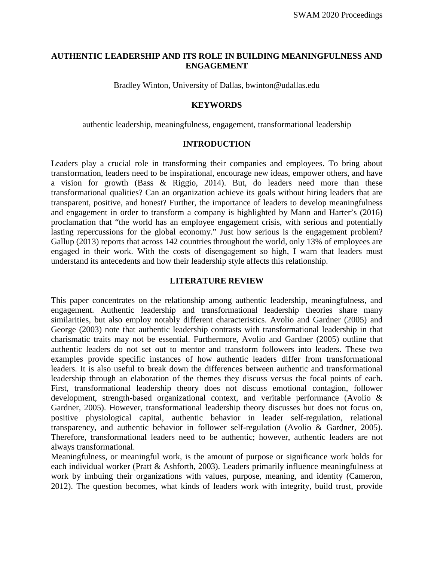# **AUTHENTIC LEADERSHIP AND ITS ROLE IN BUILDING MEANINGFULNESS AND ENGAGEMENT**

Bradley Winton, University of Dallas, bwinton@udallas.edu

### **KEYWORDS**

authentic leadership, meaningfulness, engagement, transformational leadership

# **INTRODUCTION**

Leaders play a crucial role in transforming their companies and employees. To bring about transformation, leaders need to be inspirational, encourage new ideas, empower others, and have a vision for growth (Bass & Riggio, 2014). But, do leaders need more than these transformational qualities? Can an organization achieve its goals without hiring leaders that are transparent, positive, and honest? Further, the importance of leaders to develop meaningfulness and engagement in order to transform a company is highlighted by Mann and Harter's (2016) proclamation that "the world has an employee engagement crisis, with serious and potentially lasting repercussions for the global economy." Just how serious is the engagement problem? Gallup (2013) reports that across 142 countries throughout the world, only 13% of employees are engaged in their work. With the costs of disengagement so high, I warn that leaders must understand its antecedents and how their leadership style affects this relationship.

### **LITERATURE REVIEW**

This paper concentrates on the relationship among authentic leadership, meaningfulness, and engagement. Authentic leadership and transformational leadership theories share many similarities, but also employ notably different characteristics. Avolio and Gardner (2005) and George (2003) note that authentic leadership contrasts with transformational leadership in that charismatic traits may not be essential. Furthermore, Avolio and Gardner (2005) outline that authentic leaders do not set out to mentor and transform followers into leaders. These two examples provide specific instances of how authentic leaders differ from transformational leaders. It is also useful to break down the differences between authentic and transformational leadership through an elaboration of the themes they discuss versus the focal points of each. First, transformational leadership theory does not discuss emotional contagion, follower development, strength-based organizational context, and veritable performance (Avolio & Gardner, 2005). However, transformational leadership theory discusses but does not focus on, positive physiological capital, authentic behavior in leader self-regulation, relational transparency, and authentic behavior in follower self-regulation (Avolio & Gardner, 2005). Therefore, transformational leaders need to be authentic; however, authentic leaders are not always transformational.

Meaningfulness, or meaningful work, is the amount of purpose or significance work holds for each individual worker (Pratt & Ashforth, 2003). Leaders primarily influence meaningfulness at work by imbuing their organizations with values, purpose, meaning, and identity (Cameron, 2012). The question becomes, what kinds of leaders work with integrity, build trust, provide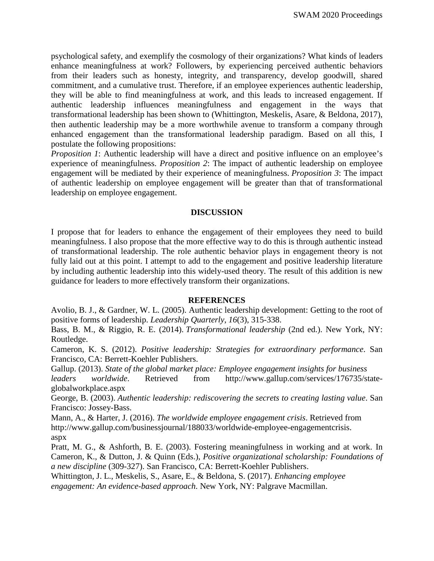psychological safety, and exemplify the cosmology of their organizations? What kinds of leaders enhance meaningfulness at work? Followers, by experiencing perceived authentic behaviors from their leaders such as honesty, integrity, and transparency, develop goodwill, shared commitment, and a cumulative trust. Therefore, if an employee experiences authentic leadership, they will be able to find meaningfulness at work, and this leads to increased engagement. If authentic leadership influences meaningfulness and engagement in the ways that transformational leadership has been shown to (Whittington, Meskelis, Asare, & Beldona, 2017), then authentic leadership may be a more worthwhile avenue to transform a company through enhanced engagement than the transformational leadership paradigm. Based on all this, I postulate the following propositions:

*Proposition 1*: Authentic leadership will have a direct and positive influence on an employee's experience of meaningfulness. *Proposition 2*: The impact of authentic leadership on employee engagement will be mediated by their experience of meaningfulness. *Proposition 3*: The impact of authentic leadership on employee engagement will be greater than that of transformational leadership on employee engagement.

### **DISCUSSION**

I propose that for leaders to enhance the engagement of their employees they need to build meaningfulness. I also propose that the more effective way to do this is through authentic instead of transformational leadership. The role authentic behavior plays in engagement theory is not fully laid out at this point. I attempt to add to the engagement and positive leadership literature by including authentic leadership into this widely-used theory. The result of this addition is new guidance for leaders to more effectively transform their organizations.

#### **REFERENCES**

Avolio, B. J., & Gardner, W. L. (2005). Authentic leadership development: Getting to the root of positive forms of leadership. *Leadership Quarterly*, *16*(3), 315-338.

Bass, B. M., & Riggio, R. E. (2014). *Transformational leadership* (2nd ed.). New York, NY: Routledge.

Cameron, K. S. (2012). *Positive leadership: Strategies for extraordinary performance*. San Francisco, CA: Berrett-Koehler Publishers.

Gallup. (2013). *State of the global market place: Employee engagement insights for business*

*leaders worldwide*. Retrieved from http://www.gallup.com/services/176735/stateglobalworkplace.aspx

George, B. (2003). *Authentic leadership: rediscovering the secrets to creating lasting value*. San Francisco: Jossey-Bass.

Mann, A., & Harter, J. (2016). *The worldwide employee engagement crisis*. Retrieved from http://www.gallup.com/businessjournal/188033/worldwide-employee-engagementcrisis. aspx

Pratt, M. G., & Ashforth, B. E. (2003). Fostering meaningfulness in working and at work. In Cameron, K., & Dutton, J. & Quinn (Eds.), *Positive organizational scholarship: Foundations of a new discipline* (309-327). San Francisco, CA: Berrett-Koehler Publishers.

Whittington, J. L., Meskelis, S., Asare, E., & Beldona, S. (2017). *Enhancing employee engagement: An evidence-based approach*. New York, NY: Palgrave Macmillan.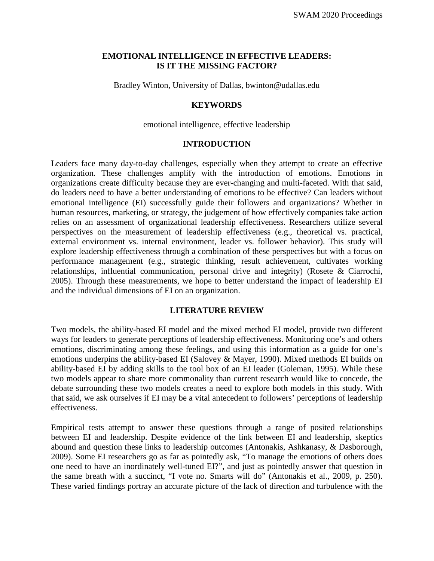### **EMOTIONAL INTELLIGENCE IN EFFECTIVE LEADERS: IS IT THE MISSING FACTOR?**

Bradley Winton, University of Dallas, bwinton@udallas.edu

### **KEYWORDS**

emotional intelligence, effective leadership

#### **INTRODUCTION**

Leaders face many day-to-day challenges, especially when they attempt to create an effective organization. These challenges amplify with the introduction of emotions. Emotions in organizations create difficulty because they are ever-changing and multi-faceted. With that said, do leaders need to have a better understanding of emotions to be effective? Can leaders without emotional intelligence (EI) successfully guide their followers and organizations? Whether in human resources, marketing, or strategy, the judgement of how effectively companies take action relies on an assessment of organizational leadership effectiveness. Researchers utilize several perspectives on the measurement of leadership effectiveness (e.g., theoretical vs. practical, external environment vs. internal environment, leader vs. follower behavior). This study will explore leadership effectiveness through a combination of these perspectives but with a focus on performance management (e.g., strategic thinking, result achievement, cultivates working relationships, influential communication, personal drive and integrity) (Rosete & Ciarrochi, 2005). Through these measurements, we hope to better understand the impact of leadership EI and the individual dimensions of EI on an organization.

### **LITERATURE REVIEW**

Two models, the ability-based EI model and the mixed method EI model, provide two different ways for leaders to generate perceptions of leadership effectiveness. Monitoring one's and others emotions, discriminating among these feelings, and using this information as a guide for one's emotions underpins the ability-based EI (Salovey & Mayer, 1990). Mixed methods EI builds on ability-based EI by adding skills to the tool box of an EI leader (Goleman, 1995). While these two models appear to share more commonality than current research would like to concede, the debate surrounding these two models creates a need to explore both models in this study. With that said, we ask ourselves if EI may be a vital antecedent to followers' perceptions of leadership effectiveness.

Empirical tests attempt to answer these questions through a range of posited relationships between EI and leadership. Despite evidence of the link between EI and leadership, skeptics abound and question these links to leadership outcomes (Antonakis, Ashkanasy, & Dasborough, 2009). Some EI researchers go as far as pointedly ask, "To manage the emotions of others does one need to have an inordinately well-tuned EI?", and just as pointedly answer that question in the same breath with a succinct, "I vote no. Smarts will do" (Antonakis et al., 2009, p. 250). These varied findings portray an accurate picture of the lack of direction and turbulence with the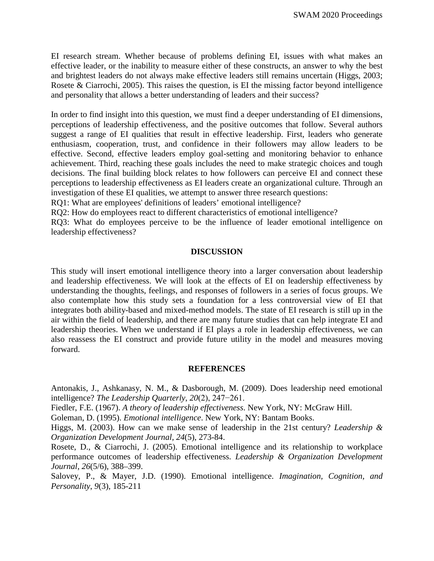EI research stream. Whether because of problems defining EI, issues with what makes an effective leader, or the inability to measure either of these constructs, an answer to why the best and brightest leaders do not always make effective leaders still remains uncertain (Higgs, 2003; Rosete & Ciarrochi, 2005). This raises the question, is EI the missing factor beyond intelligence and personality that allows a better understanding of leaders and their success?

In order to find insight into this question, we must find a deeper understanding of EI dimensions, perceptions of leadership effectiveness, and the positive outcomes that follow. Several authors suggest a range of EI qualities that result in effective leadership. First, leaders who generate enthusiasm, cooperation, trust, and confidence in their followers may allow leaders to be effective. Second, effective leaders employ goal-setting and monitoring behavior to enhance achievement. Third, reaching these goals includes the need to make strategic choices and tough decisions. The final building block relates to how followers can perceive EI and connect these perceptions to leadership effectiveness as EI leaders create an organizational culture. Through an investigation of these EI qualities, we attempt to answer three research questions:

RQ1: What are employees' definitions of leaders' emotional intelligence?

RQ2: How do employees react to different characteristics of emotional intelligence?

RQ3: What do employees perceive to be the influence of leader emotional intelligence on leadership effectiveness?

#### **DISCUSSION**

This study will insert emotional intelligence theory into a larger conversation about leadership and leadership effectiveness. We will look at the effects of EI on leadership effectiveness by understanding the thoughts, feelings, and responses of followers in a series of focus groups. We also contemplate how this study sets a foundation for a less controversial view of EI that integrates both ability-based and mixed-method models. The state of EI research is still up in the air within the field of leadership, and there are many future studies that can help integrate EI and leadership theories. When we understand if EI plays a role in leadership effectiveness, we can also reassess the EI construct and provide future utility in the model and measures moving forward.

#### **REFERENCES**

Antonakis, J., Ashkanasy, N. M., & Dasborough, M. (2009). Does leadership need emotional intelligence? *The Leadership Quarterly*, *20*(2), 247−261.

Fiedler, F.E. (1967). *A theory of leadership effectiveness*. New York, NY: McGraw Hill.

Goleman, D. (1995). *Emotional intelligence*. New York, NY: Bantam Books.

Higgs, M. (2003). How can we make sense of leadership in the 21st century? *Leadership & Organization Development Journal, 24*(5), 273-84.

Rosete, D., & Ciarrochi, J. (2005). Emotional intelligence and its relationship to workplace performance outcomes of leadership effectiveness. *Leadership & Organization Development Journal*, *26*(5/6), 388–399.

Salovey, P., & Mayer, J.D. (1990). Emotional intelligence. *Imagination, Cognition, and Personality*, *9*(3), 185-211